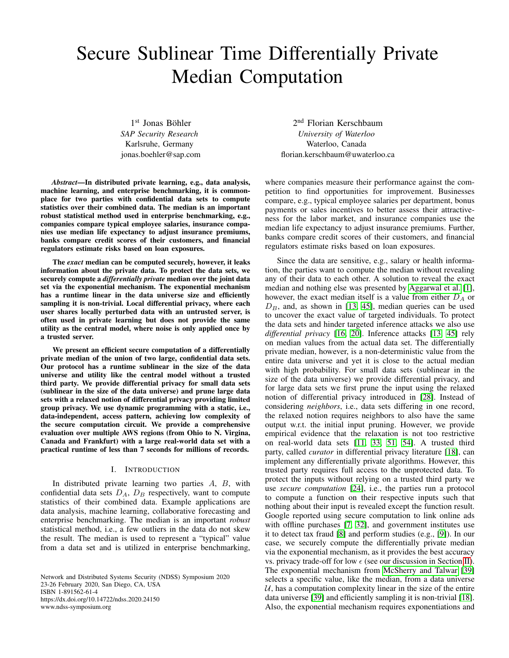# Secure Sublinear Time Differentially Private Median Computation

1st Jonas Böhler *SAP Security Research* Karlsruhe, Germany jonas.boehler@sap.com

*Abstract*—In distributed private learning, e.g., data analysis, machine learning, and enterprise benchmarking, it is commonplace for two parties with confidential data sets to compute statistics over their combined data. The median is an important robust statistical method used in enterprise benchmarking, e.g., companies compare typical employee salaries, insurance companies use median life expectancy to adjust insurance premiums, banks compare credit scores of their customers, and financial regulators estimate risks based on loan exposures.

The *exact* median can be computed securely, however, it leaks information about the private data. To protect the data sets, we securely compute a *differentially private* median over the joint data set via the exponential mechanism. The exponential mechanism has a runtime linear in the data universe size and efficiently sampling it is non-trivial. Local differential privacy, where each user shares locally perturbed data with an untrusted server, is often used in private learning but does not provide the same utility as the central model, where noise is only applied once by a trusted server.

We present an efficient secure computation of a differentially private median of the union of two large, confidential data sets. Our protocol has a runtime sublinear in the size of the data universe and utility like the central model without a trusted third party. We provide differential privacy for small data sets (sublinear in the size of the data universe) and prune large data sets with a relaxed notion of differential privacy providing limited group privacy. We use dynamic programming with a static, i.e., data-independent, access pattern, achieving low complexity of the secure computation circuit. We provide a comprehensive evaluation over multiple AWS regions (from Ohio to N. Virgina, Canada and Frankfurt) with a large real-world data set with a practical runtime of less than 7 seconds for millions of records.

# I. INTRODUCTION

In distributed private learning two parties  $A$ ,  $B$ , with confidential data sets  $D_A$ ,  $D_B$  respectively, want to compute statistics of their combined data. Example applications are data analysis, machine learning, collaborative forecasting and enterprise benchmarking. The median is an important *robust* statistical method, i.e., a few outliers in the data do not skew the result. The median is used to represent a "typical" value from a data set and is utilized in enterprise benchmarking,

Network and Distributed Systems Security (NDSS) Symposium 2020 23-26 February 2020, San Diego, CA, USA ISBN 1-891562-61-4 https://dx.doi.org/10.14722/ndss.2020.24150 www.ndss-symposium.org

2<sup>nd</sup> Florian Kerschbaum *University of Waterloo* Waterloo, Canada florian.kerschbaum@uwaterloo.ca

where companies measure their performance against the competition to find opportunities for improvement. Businesses compare, e.g., typical employee salaries per department, bonus payments or sales incentives to better assess their attractiveness for the labor market, and insurance companies use the median life expectancy to adjust insurance premiums. Further, banks compare credit scores of their customers, and financial regulators estimate risks based on loan exposures.

Since the data are sensitive, e.g., salary or health information, the parties want to compute the median without revealing any of their data to each other. A solution to reveal the exact median and nothing else was presented by [Aggarwal et al.](#page-13-0) [\[1\]](#page-13-0), however, the exact median itself is a value from either  $D_A$  or  $D<sub>B</sub>$ , and, as shown in [\[13,](#page-13-1) [45\]](#page-14-0), median queries can be used to uncover the exact value of targeted individuals. To protect the data sets and hinder targeted inference attacks we also use *differential privacy* [\[16,](#page-13-2) [20\]](#page-13-3). Inference attacks [\[13,](#page-13-1) [45\]](#page-14-0) rely on median values from the actual data set. The differentially private median, however, is a non-deterministic value from the entire data universe and yet it is close to the actual median with high probability. For small data sets (sublinear in the size of the data universe) we provide differential privacy, and for large data sets we first prune the input using the relaxed notion of differential privacy introduced in [\[28\]](#page-13-4). Instead of considering *neighbors*, i.e., data sets differing in one record, the relaxed notion requires neighbors to also have the same output w.r.t. the initial input pruning. However, we provide empirical evidence that the relaxation is not too restrictive on real-world data sets [\[11,](#page-13-5) [33,](#page-13-6) [51,](#page-14-1) [54\]](#page-14-2). A trusted third party, called *curator* in differential privacy literature [\[18\]](#page-13-7), can implement any differentially private algorithms. However, this trusted party requires full access to the unprotected data. To protect the inputs without relying on a trusted third party we use *secure computation* [\[24\]](#page-13-8), i.e., the parties run a protocol to compute a function on their respective inputs such that nothing about their input is revealed except the function result. Google reported using secure computation to link online ads with offline purchases [\[7,](#page-13-9) [32\]](#page-13-10), and government institutes use it to detect tax fraud [\[8\]](#page-13-11) and perform studies (e.g., [\[9\]](#page-13-12)). In our case, we securely compute the differentially private median via the exponential mechanism, as it provides the best accuracy vs. privacy trade-off for low  $\epsilon$  (see our discussion in Section [II\)](#page-1-0). The exponential mechanism from [McSherry and Talwar](#page-14-3) [\[39\]](#page-14-3) selects a specific value, like the median, from a data universe  $U$ , has a computation complexity linear in the size of the entire data universe [\[39\]](#page-14-3) and efficiently sampling it is non-trivial [\[18\]](#page-13-7). Also, the exponential mechanism requires exponentiations and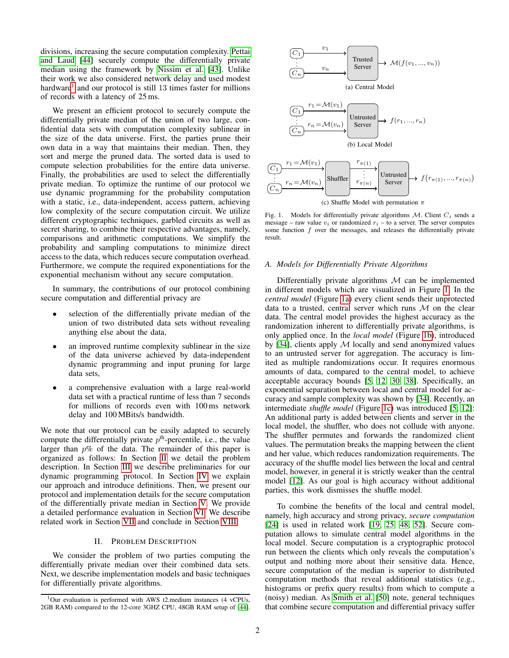divisions, increasing the secure computation complexity. [Pettai](#page-14-4) [and Laud](#page-14-4) [\[44\]](#page-14-4) securely compute the differentially private median using the framework by [Nissim et al.](#page-14-5) [\[43\]](#page-14-5). Unlike their work we also considered network delay and used modest hardware<sup>[1](#page-1-1)</sup> and our protocol is still 13 times faster for millions of records with a latency of 25 ms.

We present an efficient protocol to securely compute the differentially private median of the union of two large, confidential data sets with computation complexity sublinear in the size of the data universe. First, the parties prune their own data in a way that maintains their median. Then, they sort and merge the pruned data. The sorted data is used to compute selection probabilities for the entire data universe. Finally, the probabilities are used to select the differentially private median. To optimize the runtime of our protocol we use dynamic programming for the probability computation with a static, i.e., data-independent, access pattern, achieving low complexity of the secure computation circuit. We utilize different cryptographic techniques, garbled circuits as well as secret sharing, to combine their respective advantages, namely, comparisons and arithmetic computations. We simplify the probability and sampling computations to minimize direct access to the data, which reduces secure computation overhead. Furthermore, we compute the required exponentiations for the exponential mechanism without any secure computation.

In summary, the contributions of our protocol combining secure computation and differential privacy are

- selection of the differentially private median of the union of two distributed data sets without revealing anything else about the data,
- an improved runtime complexity sublinear in the size of the data universe achieved by data-independent dynamic programming and input pruning for large data sets,
- a comprehensive evaluation with a large real-world data set with a practical runtime of less than 7 seconds for millions of records even with 100 ms network delay and 100 MBits/s bandwidth.

We note that our protocol can be easily adapted to securely compute the differentially private  $p<sup>th</sup>$ -percentile, i.e., the value larger than  $p\%$  of the data. The remainder of this paper is organized as follows: In Section [II](#page-1-0) we detail the problem description. In Section [III](#page-2-0) we describe preliminaries for our dynamic programming protocol. In Section [IV](#page-4-0) we explain our approach and introduce definitions. Then, we present our protocol and implementation details for the secure computation of the differentially private median in Section [V.](#page-7-0) We provide a detailed performance evaluation in Section [VI.](#page-9-0) We describe related work in Section [VII](#page-11-0) and conclude in Section [VIII.](#page-12-0)

# II. PROBLEM DESCRIPTION

<span id="page-1-0"></span>We consider the problem of two parties computing the differentially private median over their combined data sets. Next, we describe implementation models and basic techniques for differentially private algorithms.

<span id="page-1-4"></span><span id="page-1-3"></span>

<span id="page-1-5"></span><span id="page-1-2"></span>Fig. 1. Models for differentially private algorithms  $M$ . Client  $C_i$  sends a message – raw value  $v_i$  or randomized  $r_i$  – to a server. The server computes some function  $f$  over the messages, and releases the differentially private result.

# *A. Models for Differentially Private Algorithms*

Differentially private algorithms  $M$  can be implemented in different models which are visualized in Figure [1.](#page-1-2) In the *central model* (Figure [1a\)](#page-1-3) every client sends their unprotected data to a trusted, central server which runs  $M$  on the clear data. The central model provides the highest accuracy as the randomization inherent to differentially private algorithms, is only applied once. In the *local model* (Figure [1b\)](#page-1-4), introduced by [\[34\]](#page-14-6), clients apply  $M$  locally and send anonymized values to an untrusted server for aggregation. The accuracy is limited as multiple randomizations occur. It requires enormous amounts of data, compared to the central model, to achieve acceptable accuracy bounds [\[5,](#page-13-13) [12,](#page-13-14) [30,](#page-13-15) [38\]](#page-14-7). Specifically, an exponential separation between local and central model for accuracy and sample complexity was shown by [\[34\]](#page-14-6). Recently, an intermediate *shuffle model* (Figure [1c\)](#page-1-5) was introduced [\[5,](#page-13-13) [12\]](#page-13-14): An additional party is added between clients and server in the local model, the shuffler, who does not collude with anyone. The shuffler permutes and forwards the randomized client values. The permutation breaks the mapping between the client and her value, which reduces randomization requirements. The accuracy of the shuffle model lies between the local and central model, however, in general it is strictly weaker than the central model [\[12\]](#page-13-14). As our goal is high accuracy without additional parties, this work dismisses the shuffle model.

To combine the benefits of the local and central model, namely, high accuracy and strong privacy, *secure computation* [\[24\]](#page-13-8) is used in related work [\[19,](#page-13-16) [25,](#page-13-17) [48,](#page-14-8) [52\]](#page-14-9). Secure computation allows to simulate central model algorithms in the local model. Secure computation is a cryptographic protocol run between the clients which only reveals the computation's output and nothing more about their sensitive data. Hence, secure computation of the median is superior to distributed computation methods that reveal additional statistics (e.g., histograms or prefix query results) from which to compute a (noisy) median. As [Smith et al.](#page-14-10) [\[50\]](#page-14-10) note, general techniques that combine secure computation and differential privacy suffer

<span id="page-1-1"></span><sup>1</sup>Our evaluation is performed with AWS t2.medium instances (4 vCPUs, 2GB RAM) compared to the 12-core 3GHZ CPU, 48GB RAM setup of [\[44\]](#page-14-4).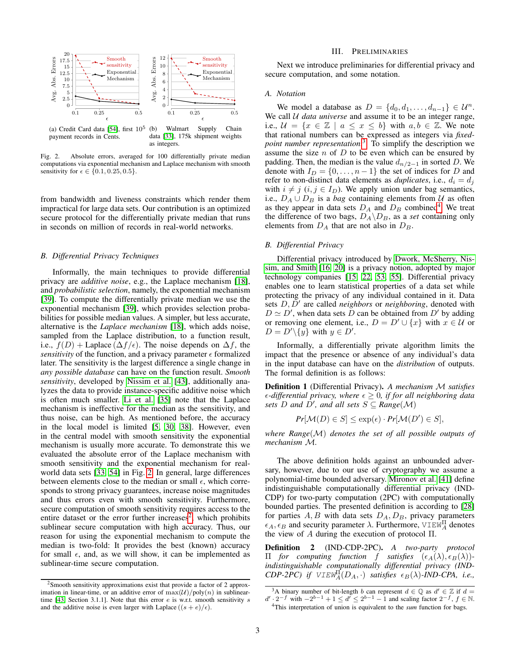



Fig. 2. Absolute errors, averaged for 100 differentially private median computations via exponential mechanism and Laplace mechanism with smooth sensitivity for  $\epsilon \in \{0.1, 0.25, 0.5\}.$ 

from bandwidth and liveness constraints which render them impractical for large data sets. Our contribution is an optimized secure protocol for the differentially private median that runs in seconds on million of records in real-world networks.

#### *B. Differential Privacy Techniques*

Informally, the main techniques to provide differential privacy are *additive noise*, e.g., the Laplace mechanism [\[18\]](#page-13-7), and *probabilistic selection*, namely, the exponential mechanism [\[39\]](#page-14-3). To compute the differentially private median we use the exponential mechanism [\[39\]](#page-14-3), which provides selection probabilities for possible median values. A simpler, but less accurate, alternative is the *Laplace mechanism* [\[18\]](#page-13-7), which adds noise, sampled from the Laplace distribution, to a function result, i.e.,  $f(D)$  + Laplace ( $\Delta f/\epsilon$ ). The noise depends on  $\Delta f$ , the *sensitivity* of the function, and a privacy parameter  $\epsilon$  formalized later. The sensitivity is the largest difference a single change in *any possible database* can have on the function result. *Smooth sensitivity*, developed by [Nissim et al.](#page-14-5) [\[43\]](#page-14-5), additionally analyzes the data to provide instance-specific additive noise which is often much smaller. [Li et al.](#page-14-11) [\[35\]](#page-14-11) note that the Laplace mechanism is ineffective for the median as the sensitivity, and thus noise, can be high. As mentioned before, the accuracy in the local model is limited [\[5,](#page-13-13) [30,](#page-13-15) [38\]](#page-14-7). However, even in the central model with smooth sensitivity the exponential mechanism is usually more accurate. To demonstrate this we evaluated the absolute error of the Laplace mechanism with smooth sensitivity and the exponential mechanism for realworld data sets [\[33,](#page-13-6) [54\]](#page-14-2) in Fig. [2.](#page-2-1) In general, large differences between elements close to the median or small  $\epsilon$ , which corresponds to strong privacy guarantees, increase noise magnitudes and thus errors even with smooth sensitivity. Furthermore, secure computation of smooth sensitivity requires access to the entire dataset or the error further increases<sup>[2](#page-2-2)</sup>, which prohibits sublinear secure computation with high accuracy. Thus, our reason for using the exponential mechanism to compute the median is two-fold: It provides the best (known) accuracy for small  $\epsilon$ , and, as we will show, it can be implemented as sublinear-time secure computation.

#### III. PRELIMINARIES

<span id="page-2-0"></span>Next we introduce preliminaries for differential privacy and secure computation, and some notation.

#### *A. Notation*

<span id="page-2-1"></span>We model a database as  $D = \{d_0, d_1, \ldots, d_{n-1}\} \in \mathcal{U}^n$ . We call *U data universe* and assume it to be an integer range, i.e.,  $\mathcal{U} = \{x \in \mathbb{Z} \mid a \leq x \leq b\}$  with  $a, b \in \mathbb{Z}$ . We note that rational numbers can be expressed as integers via *fixedpoint number representation*. [3](#page-2-3) To simplify the description we assume the size  $n$  of  $D$  to be even which can be ensured by padding. Then, the median is the value  $d_{n/2-1}$  in sorted D. We denote with  $I_D = \{0, \ldots, n-1\}$  the set of indices for D and refer to non-distinct data elements as *duplicates*, i.e.,  $d_i = d_j$ with  $i \neq j$   $(i, j \in I_D)$ . We apply union under bag semantics, i.e.,  $D_A \cup D_B$  is a *bag* containing elements from U as often as they appear in data sets  $D_A$  and  $D_B$  combined<sup>[4](#page-2-4)</sup>. We treat the difference of two bags,  $D_A \backslash D_B$ , as a *set* containing only elements from  $D_A$  that are not also in  $D_B$ .

#### *B. Differential Privacy*

Differential privacy introduced by [Dwork, McSherry, Nis](#page-13-3)[sim, and Smith](#page-13-3) [\[16,](#page-13-2) [20\]](#page-13-3) is a privacy notion, adopted by major technology companies [\[15,](#page-13-18) [22,](#page-13-19) [53,](#page-14-12) [55\]](#page-14-13). Differential privacy enables one to learn statistical properties of a data set while protecting the privacy of any individual contained in it. Data sets  $D, D'$  are called *neighbors* or *neighboring*, denoted with  $D \simeq D'$ , when data sets D can be obtained from D' by adding or removing one element, i.e.,  $D = D' \cup \{x\}$  with  $x \in \mathcal{U}$  or  $D = D' \setminus \{y\}$  with  $y \in D'$ .

Informally, a differentially private algorithm limits the impact that the presence or absence of any individual's data in the input database can have on the *distribution* of outputs. The formal definition is as follows:

<span id="page-2-5"></span>Definition 1 (Differential Privacy). *A mechanism* M *satisfies*  $\epsilon$ -differential privacy, where  $\epsilon \geq 0$ , if for all neighboring data *sets*  $D$  *and*  $D'$ *, and all sets*  $S \subseteq Range(M)$ 

$$
Pr[\mathcal{M}(D) \in S] \le \exp(\epsilon) \cdot Pr[\mathcal{M}(D') \in S],
$$

*where Range*(M) *denotes the set of all possible outputs of mechanism* M*.*

The above definition holds against an unbounded adversary, however, due to our use of cryptography we assume a polynomial-time bounded adversary. [Mironov et al.](#page-14-14) [\[41\]](#page-14-14) define indistinguishable computationally differential privacy (IND-CDP) for two-party computation (2PC) with computationally bounded parties. The presented definition is according to [\[28\]](#page-13-4) for parties  $A, B$  with data sets  $D_A, D_B$ , privacy parameters  $\epsilon_A, \epsilon_B$  and security parameter  $\lambda$ . Furthermore,  $\vee$ IEW<sub>A</sub> denotes the view of  $A$  during the execution of protocol Π.

Definition 2 (IND-CDP-2PC). *A two-party protocol*  $\Pi$  *for computing function f satisfies*  $(ε<sub>A</sub>(λ), ε<sub>B</sub>(λ))$ *indistinguishable computationally differential privacy (IND-CDP-2PC)* if  $VIEW_A^{\Pi}(D_A, \cdot)$  *satisfies*  $\epsilon_B(\lambda)$ -*IND-CPA, i.e.,* 

<span id="page-2-2"></span><sup>2</sup>Smooth sensitivity approximations exist that provide a factor of 2 approximation in linear-time, or an additive error of  $\max(\mathcal{U})/poly(n)$  in sublinear-time [\[43,](#page-14-5) Section 3.1.1]. Note that this error  $e$  is w.r.t. smooth sensitivity  $s$ and the additive noise is even larger with Laplace  $((s + e)/\epsilon)$ .

<span id="page-2-3"></span><sup>&</sup>lt;sup>3</sup>A binary number of bit-length b can represent  $d \in \mathbb{Q}$  as  $d' \in \mathbb{Z}$  if  $d =$ 

<span id="page-2-4"></span> $d' \cdot 2^{-f}$  with  $-2^{b-1} + 1 \le d' \le 2^{b-1} - 1$  and scaling factor  $2^{-f}$ ,  $f \in \mathbb{N}$ . <sup>4</sup>This interpretation of union is equivalent to the *sum* function for bags.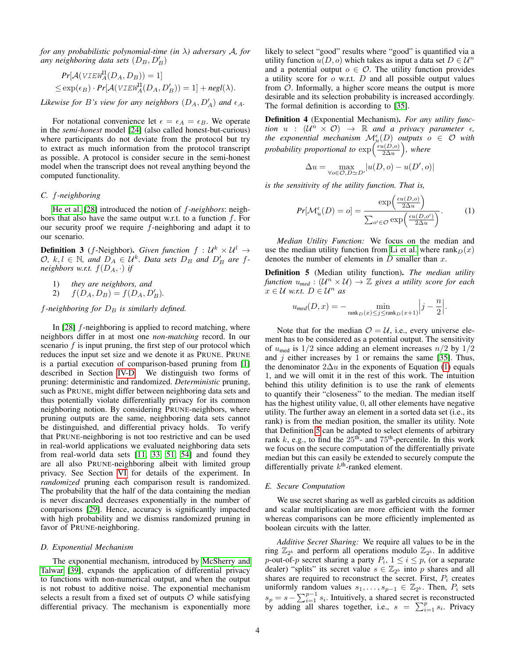*for any probabilistic polynomial-time (in* λ*) adversary* A*, for any neighboring data sets*  $(D_B, D'_B)$ 

$$
Pr[\mathcal{A}(VIEW_A^{\Pi}(D_A, D_B)) = 1]
$$
  

$$
\leq \exp(\epsilon_B) \cdot Pr[\mathcal{A}(VIEW_A^{\Pi}(D_A, D'_B)) = 1] + negl(\lambda).
$$

*Likewise for B's view for any neighbors*  $(D_A, D'_A)$  *and*  $\epsilon_A$ *.* 

For notational convenience let  $\epsilon = \epsilon_A = \epsilon_B$ . We operate in the *semi-honest* model [\[24\]](#page-13-8) (also called honest-but-curious) where participants do not deviate from the protocol but try to extract as much information from the protocol transcript as possible. A protocol is consider secure in the semi-honest model when the transcript does not reveal anything beyond the computed functionality.

# *C.* f*-neighboring*

[He et al.](#page-13-4) [\[28\]](#page-13-4) introduced the notion of f*-neighbors*: neighbors that also have the same output w.r.t. to a function  $f$ . For our security proof we require  $f$ -neighboring and adapt it to our scenario.

<span id="page-3-2"></span>**Definition 3** (*f*-Neighbor). *Given function*  $f: U^k \times U^l \rightarrow$  $\mathcal{O}, k, l \in \mathbb{N}$ , and  $D_A \in \mathcal{U}^k$ . Data sets  $D_B$  and  $D'_B$  are f*neighbors w.r.t.*  $f(D_A, \cdot)$  *if* 

- 1) *they are neighbors, and*
- 2)  $f(D_A, D_B) = f(D_A, D'_B)$ .

 $f$ -neighboring for  $D_B$  is similarly defined.

In  $[28]$  f-neighboring is applied to record matching, where neighbors differ in at most one *non-matching* record. In our scenario  $f$  is input pruning, the first step of our protocol which reduces the input set size and we denote it as PRUNE. PRUNE is a partial execution of comparison-based pruning from [\[1\]](#page-13-0) described in Section [IV-D.](#page-6-0) We distinguish two forms of pruning: deterministic and randomized. *Deterministic* pruning, such as PRUNE, might differ between neighboring data sets and thus potentially violate differentially privacy for its common neighboring notion. By considering PRUNE-neighbors, where pruning outputs are the same, neighboring data sets cannot be distinguished, and differential privacy holds. To verify that PRUNE-neighboring is not too restrictive and can be used in real-world applications we evaluated neighboring data sets from real-world data sets [\[11,](#page-13-5) [33,](#page-13-6) [51,](#page-14-1) [54\]](#page-14-2) and found they are all also PRUNE-neighboring albeit with limited group privacy. See Section [VI](#page-9-0) for details of the experiment. In *randomized* pruning each comparison result is randomized. The probability that the half of the data containing the median is never discarded decreases exponentially in the number of comparisons [\[29\]](#page-13-20). Hence, accuracy is significantly impacted with high probability and we dismiss randomized pruning in favor of PRUNE-neighboring.

# *D. Exponential Mechanism*

The exponential mechanism, introduced by [McSherry and](#page-14-3) [Talwar](#page-14-3) [\[39\]](#page-14-3), expands the application of differential privacy to functions with non-numerical output, and when the output is not robust to additive noise. The exponential mechanism selects a result from a fixed set of outputs  $\mathcal O$  while satisfying differential privacy. The mechanism is exponentially more

likely to select "good" results where "good" is quantified via a utility function  $u(D, o)$  which takes as input a data set  $D \in \mathcal{U}^n$ and a potential output  $o \in \mathcal{O}$ . The utility function provides a utility score for  $o$  w.r.t.  $D$  and all possible output values from  $O$ . Informally, a higher score means the output is more desirable and its selection probability is increased accordingly. The formal definition is according to [\[35\]](#page-14-11).

Definition 4 (Exponential Mechanism). *For any utility function*  $u$  :  $(U^n \times O) \rightarrow \mathbb{R}$  and a privacy parameter  $\epsilon$ , the exponential mechanism  $\mathcal{M}^{\epsilon}_{\mu}(D)$  outputs  $o \in \mathcal{O}$  with *probability proportional to*  $\exp\left(\frac{\epsilon u(D,o)}{2\Delta u}\right)$  $\frac{\mu(D,o)}{2\Delta u}$ ), where

$$
\Delta u = \max_{\forall o \in \mathcal{O}, D \simeq D'} |u(D, o) - u(D', o)|
$$

*is the sensitivity of the utility function. That is,*

<span id="page-3-0"></span>
$$
Pr[\mathcal{M}_u^{\epsilon}(D) = o] = \frac{\exp\left(\frac{\epsilon u(D,o)}{2\Delta u}\right)}{\sum_{o' \in \mathcal{O}} \exp\left(\frac{\epsilon u(D,o')}{2\Delta u}\right)}.
$$
 (1)

*Median Utility Function:* We focus on the median and use the median utility function from [Li et al.](#page-14-11) where rank $D(x)$ denotes the number of elements in  $D$  smaller than  $x$ .

<span id="page-3-1"></span>Definition 5 (Median utility function). *The median utility function*  $u_{med} : (\mathcal{U}^n \times \mathcal{U}) \rightarrow \mathbb{Z}$  gives a utility score for each  $x \in \mathcal{U}$  *w.r.t.*  $D \in \mathcal{U}^n$  *as* 

$$
u_{\text{med}}(D, x) = -\min_{\mathrm{rank}_D(x) \le j \le \mathrm{rank}_D(x+1)} \Bigl| j - \frac{n}{2} \Bigr|.
$$

Note that for the median  $\mathcal{O} = \mathcal{U}$ , i.e., every universe element has to be considered as a potential output. The sensitivity of  $u_{\text{med}}$  is  $1/2$  since adding an element increases  $n/2$  by  $1/2$ and  $j$  either increases by 1 or remains the same [\[35\]](#page-14-11). Thus, the denominator  $2\Delta u$  in the exponents of Equation [\(1\)](#page-3-0) equals 1, and we will omit it in the rest of this work. The intuition behind this utility definition is to use the rank of elements to quantify their "closeness" to the median. The median itself has the highest utility value, 0, all other elements have negative utility. The further away an element in a sorted data set (i.e., its rank) is from the median position, the smaller its utility. Note that Definition [5](#page-3-1) can be adapted to select elements of arbitrary rank k, e.g., to find the  $25<sup>th</sup>$ - and  $75<sup>th</sup>$ -percentile. In this work we focus on the secure computation of the differentially private median but this can easily be extended to securely compute the differentially private  $k<sup>th</sup>$ -ranked element.

#### *E. Secure Computation*

We use secret sharing as well as garbled circuits as addition and scalar multiplication are more efficient with the former whereas comparisons can be more efficiently implemented as boolean circuits with the latter.

*Additive Secret Sharing:* We require all values to be in the ring  $\mathbb{Z}_{2^b}$  and perform all operations modulo  $\mathbb{Z}_{2^b}$ . In additive p-out-of-p secret sharing a party  $P_i$ ,  $1 \le i \le p$ , (or a separate dealer) "splits" its secret value  $s \in \mathbb{Z}_{2^b}$  into p shares and all shares are required to reconstruct the secret. First,  $P_i$  creates uniformly random values  $s_1, \ldots, s_{p-1} \in \mathbb{Z}_{2^b}$ . Then,  $P_i$  sets  $s_p = s - \sum_{i=1}^{p-1} s_i$ . Intuitively, a shared secret is reconstructed by adding all shares together, i.e.,  $s = \sum_{i=1}^{p} s_i$ . Privacy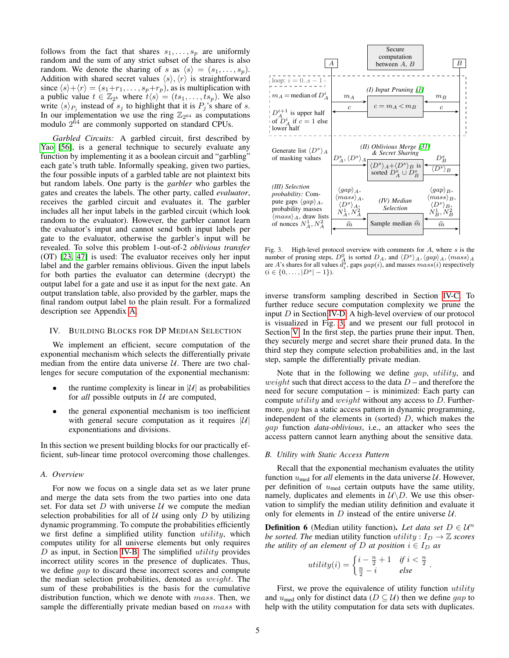follows from the fact that shares  $s_1, \ldots, s_p$  are uniformly random and the sum of any strict subset of the shares is also random. We denote the sharing of s as  $\langle s \rangle = (s_1, \ldots, s_p)$ . Addition with shared secret values  $\langle s \rangle$ ,  $\langle r \rangle$  is straightforward since  $\langle s \rangle + \langle r \rangle = (s_1+r_1, \ldots, s_p+r_p)$ , as is multiplication with a public value  $t \in \mathbb{Z}_{2^b}$  where  $t\langle s \rangle = (ts_1, \ldots, ts_p)$ . We also write  $\langle s \rangle_{P_j}$  instead of  $s_j$  to highlight that it is  $P_j$ 's share of s. In our implementation we use the ring  $\mathbb{Z}_{2^{64}}$  as computations modulo  $2^{64}$  are commonly supported on standard CPUs.

*Garbled Circuits:* A garbled circuit, first described by [Yao](#page-14-15) [\[56\]](#page-14-15), is a general technique to securely evaluate any function by implementing it as a boolean circuit and "garbling" each gate's truth table. Informally speaking, given two parties, the four possible inputs of a garbled table are not plaintext bits but random labels. One party is the *garbler* who garbles the gates and creates the labels. The other party, called *evaluator*, receives the garbled circuit and evaluates it. The garbler includes all her input labels in the garbled circuit (which look random to the evaluator). However, the garbler cannot learn the evaluator's input and cannot send both input labels per gate to the evaluator, otherwise the garbler's input will be revealed. To solve this problem 1-out-of-2 *oblivious transfer* (OT) [\[23,](#page-13-21) [47\]](#page-14-16) is used: The evaluator receives only her input label and the garbler remains oblivious. Given the input labels for both parties the evaluator can determine (decrypt) the output label for a gate and use it as input for the next gate. An output translation table, also provided by the garbler, maps the final random output label to the plain result. For a formalized description see Appendix [A.](#page-14-17)

# <span id="page-4-0"></span>IV. BUILDING BLOCKS FOR DP MEDIAN SELECTION

We implement an efficient, secure computation of the exponential mechanism which selects the differentially private median from the entire data universe  $U$ . There are two challenges for secure computation of the exponential mechanism:

- the runtime complexity is linear in  $|\mathcal{U}|$  as probabilities for *all* possible outputs in  $U$  are computed,
- the general exponential mechanism is too inefficient with general secure computation as it requires  $|\mathcal{U}|$ exponentiations and divisions.

In this section we present building blocks for our practically efficient, sub-linear time protocol overcoming those challenges.

# *A. Overview*

For now we focus on a single data set as we later prune and merge the data sets from the two parties into one data set. For data set  $D$  with universe  $U$  we compute the median selection probabilities for all of  $U$  using only  $D$  by utilizing dynamic programming. To compute the probabilities efficiently we first define a simplified utility function utility, which computes utility for all universe elements but only requires  $D$  as input, in Section [IV-B.](#page-4-1) The simplified *utility* provides incorrect utility scores in the presence of duplicates. Thus, we define gap to discard these incorrect scores and compute the median selection probabilities, denoted as weight. The sum of these probabilities is the basis for the cumulative distribution function, which we denote with mass. Then, we sample the differentially private median based on *mass* with



<span id="page-4-2"></span>Fig. 3. High-level protocol overview with comments for  $A$ , where  $s$  is the number of pruning steps,  $D_A^0$  is sorted  $D_A$ , and  $\langle D^s \rangle_A$ ,  $\langle gap \rangle_A$ ,  $\langle mass \rangle_A$ are A's shares for all values  $d_i^s$ , gaps  $gap(i)$ , and masses  $mass(i)$  respectively  $(i \in \{0, \ldots, |D^s|-1\}).$ 

inverse transform sampling described in Section [IV-C.](#page-6-1) To further reduce secure computation complexity we prune the input  $D$  in Section [IV-D.](#page-6-0) A high-level overview of our protocol is visualized in Fig. [3,](#page-4-2) and we present our full protocol in Section [V.](#page-7-0) In the first step, the parties prune their input. Then, they securely merge and secret share their pruned data. In the third step they compute selection probabilities and, in the last step, sample the differentially private median.

Note that in the following we define gap, utility, and weight such that direct access to the data  $D$  – and therefore the need for secure computation – is minimized: Each party can compute *utility* and *weight* without any access to  $D$ . Furthermore, gap has a static access pattern in dynamic programming, independent of the elements in (sorted)  $D$ , which makes the gap function *data-oblivious*, i.e., an attacker who sees the access pattern cannot learn anything about the sensitive data.

#### <span id="page-4-1"></span>*B. Utility with Static Access Pattern*

Recall that the exponential mechanism evaluates the utility function  $u_{\text{med}}$  for *all* elements in the data universe  $U$ . However, per definition of  $u_{\text{med}}$  certain outputs have the same utility, namely, duplicates and elements in  $U\backslash D$ . We use this observation to simplify the median utility definition and evaluate it only for elements in  $D$  instead of the entire universe  $U$ .

<span id="page-4-3"></span>**Definition 6** (Median utility function). Let data set  $D \in \mathcal{U}^n$ *be sorted. The median utility function*  $utility: I_D \rightarrow \mathbb{Z}$  *scores the utility of an element of* D *at position*  $i \in I_D$  *as* 

$$
utility(i) = \begin{cases} i - \frac{n}{2} + 1 & \text{if } i < \frac{n}{2} \\ \frac{n}{2} - i & \text{else} \end{cases}.
$$

First, we prove the equivalence of utility function utility and  $u_{\text{med}}$  only for distinct data ( $D \subseteq U$ ) then we define gap to help with the utility computation for data sets with duplicates.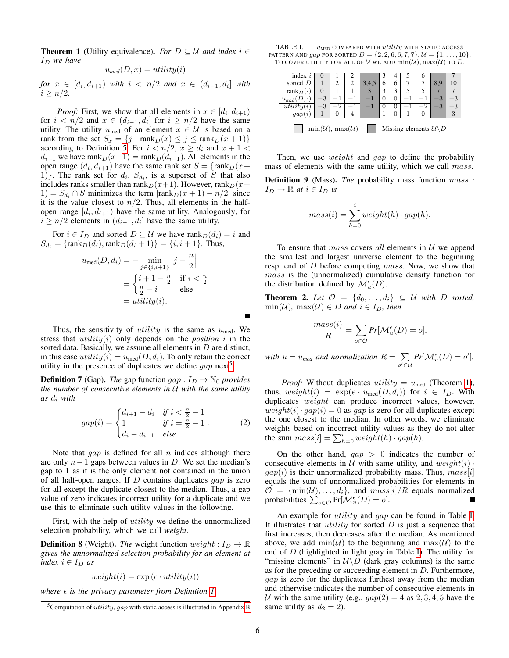<span id="page-5-1"></span>**Theorem 1** (Utility equivalence). *For*  $D \subseteq U$  *and index*  $i \in$  $I_D$  *we have* 

$$
u_{\text{med}}(D, x) = utility(i)
$$

 $for x \in [d_i, d_{i+1})$  *with*  $i \leq n/2$  *and*  $x \in (d_{i-1}, d_i]$  *with*  $i > n/2$ .

*Proof:* First, we show that all elements in  $x \in [d_i, d_{i+1})$ for  $i < n/2$  and  $x \in (d_{i-1}, d_i]$  for  $i \ge n/2$  have the same utility. The utility  $u_{\text{med}}$  of an element  $x \in \mathcal{U}$  is based on a rank from the set  $S_x = \{j \mid \text{rank}_D(x) \le j \le \text{rank}_D(x + 1)\}\$ according to Definition [5.](#page-3-1) For  $i < n/2$ ,  $x \ge d_i$  and  $x + 1 <$  $d_{i+1}$  we have rank $D(x+1) = \text{rank}_D(d_{i+1})$ . All elements in the open range  $(d_i, d_{i+1})$  have the same rank set  $S = \{\text{rank}_D(x + \alpha)\}$ 1)}. The rank set for  $d_i$ ,  $S_{d_i}$ , is a superset of S that also includes ranks smaller than rank $_D(x+1)$ . However, rank $_D(x+1)$ 1) =  $S_{d_i} \cap S$  minimizes the term  $|\text{rank}_D(x + 1) - n/2|$  since it is the value closest to  $n/2$ . Thus, all elements in the halfopen range  $[d_i, d_{i+1})$  have the same utility. Analogously, for  $i \geq n/2$  elements in  $(d_{i-1}, d_i]$  have the same utility.

For  $i \in I_D$  and sorted  $D \subseteq \mathcal{U}$  we have rank $D(d_i) = i$  and  $S_{d_i} = {\text{rank}_D(d_i), \text{rank}_D(d_i + 1)} = {i, i + 1}.$  Thus,

$$
u_{\text{med}}(D, d_i) = -\min_{j \in \{i, i+1\}} \left| j - \frac{n}{2} \right|
$$
  
= 
$$
\begin{cases} i+1-\frac{n}{2} & \text{if } i < \frac{n}{2} \\ \frac{n}{2} - i & \text{else} \end{cases}
$$
  
= 
$$
utility(i).
$$

Thus, the sensitivity of *utility* is the same as  $u_{\text{med}}$ . We stress that  $utility(i)$  only depends on the *position* i in the sorted data. Basically, we assume all elements in D are distinct, in this case  $utility(i) = u_{med}(D, d_i)$ . To only retain the correct utility in the presence of duplicates we define  $gap$  next<sup>[5](#page-5-0)</sup>.

<span id="page-5-3"></span>**Definition 7** (Gap). *The* gap function  $gap: I_D \rightarrow \mathbb{N}_0$  *provides the number of consecutive elements in* U *with the same utility* as  $d_i$  *with* 

$$
gap(i) = \begin{cases} d_{i+1} - d_i & \text{if } i < \frac{n}{2} - 1 \\ 1 & \text{if } i = \frac{n}{2} - 1 \\ d_i - d_{i-1} & \text{else} \end{cases}
$$
 (2)

Note that  $gap$  is defined for all n indices although there are only  $n-1$  gaps between values in D. We set the median's gap to 1 as it is the only element not contained in the union of all half-open ranges. If  $D$  contains duplicates  $qap$  is zero for all except the duplicate closest to the median. Thus, a gap value of zero indicates incorrect utility for a duplicate and we use this to eliminate such utility values in the following.

First, with the help of *utility* we define the unnormalized selection probability, which we call *weight*.

**Definition 8** (Weight). *The* weight function  $weight: I_D \rightarrow \mathbb{R}$ *gives the unnormalized selection probability for an element at index*  $i \in I_D$  *as* 

$$
weight(i) = \exp\left(\epsilon \cdot utility(i)\right)
$$

*where*  $\epsilon$  *is the privacy parameter from Definition [1.](#page-2-5)* 

<span id="page-5-2"></span>TABLE I.  $u_{\text{MED}}$  COMPARED WITH  $utility$  WITH STATIC ACCESS PATTERN AND *gap* FOR SORTED  $D = \{2, 2, 6, 6, 7, 7\}, \mathcal{U} = \{1, \ldots, 10\}.$ TO COVER UTILITY FOR ALL OF U WE ADD  $\min(\mathcal{U}), \max(\mathcal{U})$  TO D.

| index $i$                                                          | U         |  |  |  |   |   |  | O |         |      |
|--------------------------------------------------------------------|-----------|--|--|--|---|---|--|---|---------|------|
| sorted D                                                           |           |  |  |  |   | 6 |  |   | 8.9     | 10   |
| rank $_D($                                                         |           |  |  |  |   |   |  |   |         |      |
| $u_{\text{med}}$                                                   |           |  |  |  |   | 0 |  |   |         |      |
| utility(                                                           | $-\sigma$ |  |  |  | O | 0 |  |   | $^{-3}$ | $-3$ |
| gap(i)                                                             |           |  |  |  |   |   |  |   |         | 3    |
| $\min(\mathcal{U}), \max(\mathcal{U})$<br>Missing elements $U \ D$ |           |  |  |  |   |   |  |   |         |      |

Then, we use *weight* and *gap* to define the probability mass of elements with the same utility, which we call *mass*.

Definition 9 (Mass). *The* probability mass function mass :  $I_D \to \mathbb{R}$  *at*  $i \in I_D$  *is* 

$$
mass(i) = \sum_{h=0}^{i} weight(h) \cdot gap(h).
$$

To ensure that mass covers *all* elements in U we append the smallest and largest universe element to the beginning resp. end of D before computing mass. Now, we show that mass is the (unnormalized) cumulative density function for the distribution defined by  $\mathcal{M}_u^{\epsilon}(D)$ .

**Theorem 2.** Let  $\mathcal{O} = \{d_0, \ldots, d_i\} \subseteq \mathcal{U}$  with D sorted,  $\min(\mathcal{U})$ *,*  $\max(\mathcal{U}) \in D$  *and*  $i \in I_D$ *, then* 

$$
\frac{mass(i)}{R} = \sum_{o \in \mathcal{O}} Pr[\mathcal{M}_u^{\epsilon}(D) = o],
$$

*with*  $u = u_{med}$  *and normalization*  $R = \sum$  $\sum_{o' \in \mathcal{U}} Pr[\mathcal{M}_u^{\epsilon}(D) = o']$ .

*Proof:* Without duplicates  $utility = u_{\text{med}}$  (Theorem [1\)](#page-5-1), thus,  $weight(i) = \exp(\epsilon \cdot u_{\text{med}}(D, d_i))$  for  $i \in I_D$ . With duplicates weight can produce incorrect values, however,  $weight(i) \cdot gap(i) = 0$  as gap is zero for all duplicates except the one closest to the median. In other words, we eliminate weights based on incorrect utility values as they do not alter the sum  $mass[i] = \sum_{h=0}^{i} weight(h) \cdot gap(h)$ .

On the other hand,  $qap > 0$  indicates the number of consecutive elements in  $U$  with same utility, and  $weight(i)$ .  $gap(i)$  is their unnormalized probability mass. Thus,  $mass[i]$ equals the sum of unnormalized probabilities for elements in  $\mathcal{O} = \{\min(\mathcal{U}), \ldots, d_i\}$ , and  $mass[i]/R$  equals normalized probabilities  $\sum_{o \in \mathcal{O}} Pr[\mathcal{M}_u^{\epsilon}(D) = o].$ 

An example for *utility* and gap can be found in Table [I.](#page-5-2) It illustrates that *utility* for sorted  $D$  is just a sequence that first increases, then decreases after the median. As mentioned above, we add  $\min(\mathcal{U})$  to the beginning and  $\max(\mathcal{U})$  to the end of  $D$  (highlighted in light gray in Table [I\)](#page-5-2). The utility for "missing elements" in  $U\setminus D$  (dark gray columns) is the same as for the preceding or succeeding element in D. Furthermore, gap is zero for the duplicates furthest away from the median and otherwise indicates the number of consecutive elements in U with the same utility (e.g.,  $gap(2) = 4$  as 2, 3, 4, 5 have the same utility as  $d_2 = 2$ ).

<span id="page-5-0"></span><sup>&</sup>lt;sup>5</sup>Computation of *utility, gap* with static access is illustrated in Appendix [B](#page-15-0)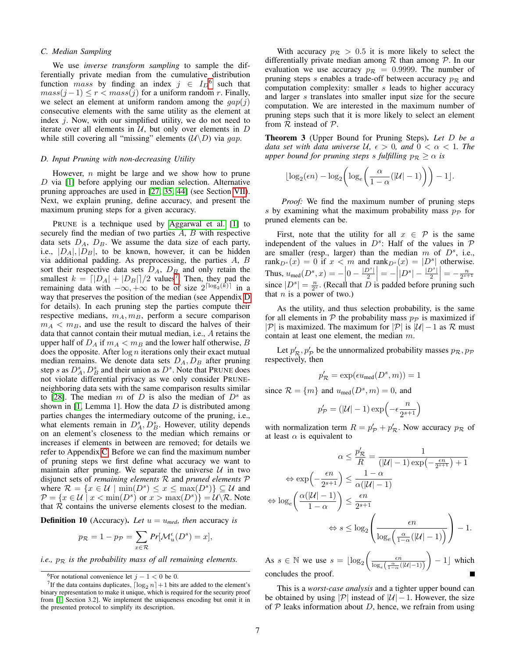#### <span id="page-6-1"></span>*C. Median Sampling*

We use *inverse transform sampling* to sample the differentially private median from the cumulative distribution function *mass* by finding an index  $j \in I_D^6$  $j \in I_D^6$  such that  $mass(j-1) \leq r < mass(j)$  for a uniform random r. Finally, we select an element at uniform random among the  $qap(j)$ consecutive elements with the same utility as the element at index  $i$ . Now, with our simplified utility, we do not need to iterate over all elements in  $U$ , but only over elements in  $D$ while still covering all "missing" elements  $(U\setminus D)$  via gap.

#### <span id="page-6-0"></span>*D. Input Pruning with non-decreasing Utility*

However,  $n$  might be large and we show how to prune D via [\[1\]](#page-13-0) before applying our median selection. Alternative pruning approaches are used in [\[27,](#page-13-23) [35,](#page-14-11) [44\]](#page-14-4) (see Section [VII\)](#page-11-0). Next, we explain pruning, define accuracy, and present the maximum pruning steps for a given accuracy.

PRUNE is a technique used by [Aggarwal et al.](#page-13-0) [\[1\]](#page-13-0) to securely find the median of two parties A, B with respective data sets  $D_A$ ,  $D_B$ . We assume the data size of each party, i.e.,  $|D_A|, |D_B|$ , to be known, however, it can be hidden via additional padding. As preprocessing, the parties A, B sort their respective data sets  $D_A$ ,  $D_B$  and only retain the smallest  $k = \lfloor |D_A| + |D_B| \rfloor / 2$  values<sup>[7](#page-6-3)</sup>. Then, they pad the remaining data with  $-\infty, +\infty$  to be of size  $2^{\lceil \log_2(\vec{k}) \rceil}$  in a way that preserves the position of the median (see Appendix [D](#page-15-1) for details). In each pruning step the parties compute their respective medians,  $m_A, m_B$ , perform a secure comparison  $m_A < m_B$ , and use the result to discard the halves of their data that cannot contain their mutual median, i.e., A retains the upper half of  $D_A$  if  $m_A < m_B$  and the lower half otherwise, B does the opposite. After  $\log n$  iterations only their exact mutual median remains. We denote data sets  $D_A$ ,  $D_B$  after pruning step s as  $D_A^s$ ,  $D_B^s$  and their union as  $D^s$ . Note that PRUNE does not violate differential privacy as we only consider PRUNEneighboring data sets with the same comparison results similar to [\[28\]](#page-13-4). The median m of D is also the median of  $D<sup>s</sup>$  as shown in [\[1,](#page-13-0) Lemma 1]. How the data  $D$  is distributed among parties changes the intermediary outcome of the pruning, i.e., what elements remain in  $D_A^s$ ,  $D_B^s$ . However, utility depends on an element's closeness to the median which remains or increases if elements in between are removed; for details we refer to Appendix [C.](#page-15-2) Before we can find the maximum number of pruning steps we first define what accuracy we want to maintain after pruning. We separate the universe  $U$  in two disjunct sets of *remaining elements* R and *pruned elements* P where  $\mathcal{R} = \{x \in \mathcal{U} \mid \min(D^s) \leq x \leq \max(D^s)\} \subseteq \mathcal{U}$  and  $\mathcal{P} = \{x \in \mathcal{U} \mid x < \min(D^s) \text{ or } x > \max(D^s)\} = \mathcal{U} \backslash \mathcal{R}$ . Note that  $R$  contains the universe elements closest to the median.

**Definition 10** (Accuracy). Let  $u = u_{\text{med}}$ *, then* accuracy *is* 

$$
p_{\mathcal{R}} = 1 - p_{\mathcal{P}} = \sum_{x \in \mathcal{R}} Pr[\mathcal{M}_u^{\epsilon}(D^s) = x],
$$

*i.e.,*  $p_R$  *is the probability mass of all remaining elements.* 

With accuracy  $p_{\mathcal{R}} > 0.5$  it is more likely to select the differentially private median among  $R$  than among  $P$ . In our evaluation we use accuracy  $p_{\mathcal{R}} = 0.9999$ . The number of pruning steps s enables a trade-off between accuracy  $p_{\mathcal{R}}$  and computation complexity: smaller s leads to higher accuracy and larger s translates into smaller input size for the secure computation. We are interested in the maximum number of pruning steps such that it is more likely to select an element from  $R$  instead of  $P$ .

<span id="page-6-4"></span>Theorem 3 (Upper Bound for Pruning Steps). *Let* D *be a data set with data universe*  $U, \epsilon > 0$ *, and*  $0 < \alpha < 1$ *. The upper bound for pruning steps s fulfilling*  $p_R \geq \alpha$  *is* 

$$
\lfloor \log_2(\epsilon n) - \log_2 \left( \log_e \left( \frac{\alpha}{1-\alpha}(|\mathcal{U}| - 1) \right) \right) - 1 \rfloor.
$$

*Proof:* We find the maximum number of pruning steps s by examining what the maximum probability mass  $p_{\mathcal{P}}$  for pruned elements can be.

First, note that the utility for all  $x \in \mathcal{P}$  is the same independent of the values in  $D^s$ : Half of the values in  $\mathcal P$ are smaller (resp., larger) than the median  $m$  of  $D^s$ , i.e., rank $_{D^s}(x) = 0$  if  $x < m$  and rank $_{D^s}(x) = |D^s|$  otherwise. Thus,  $u_{\text{med}}(D^s, x) = -\left|0 - \frac{|D^s|}{2}\right|$  $\left|\frac{D^s}{2}\right| = -\left|D^s - \frac{|D^s|}{2}\right|$ Thus,  $u_{\text{med}}(D^s, x) = -\left|0 - \frac{|D^s|}{2}\right| = -\left|D^s - \frac{|D^s|}{2}\right| = -\frac{n}{2^{s+1}}$ <br>since  $|D^s| = \frac{n}{2^s}$ . (Recall that D is padded before pruning such that  $n$  is a power of two.)

As the utility, and thus selection probability, is the same for all elements in  $P$  the probability mass  $p_P$  is maximized if |P| is maximized. The maximum for |P| is  $|\mathcal{U}| - 1$  as R must contain at least one element, the median m.

Let  $p'_R$ ,  $p'_P$  be the unnormalized probability masses  $p_R$ ,  $p_P$ respectively, then

$$
p'_{\mathcal{R}} = \exp(\epsilon u_{\text{med}}(D^s, m)) = 1
$$

since  $\mathcal{R} = \{m\}$  and  $u_{\text{med}}(D^s, m) = 0$ , and

$$
p_{\mathcal{P}}' = \left( |\mathcal{U}| - 1 \right) \exp \left( - \epsilon \frac{n}{2^{s+1}} \right)
$$

with normalization term  $R = p'_p + p'_R$ . Now accuracy  $p_R$  of at least  $\alpha$  is equivalent to

$$
\alpha \le \frac{p'_R}{R} = \frac{1}{(|\mathcal{U}| - 1) \exp\left(-\frac{\epsilon n}{2^{s+1}}\right) + 1}
$$

$$
\Leftrightarrow \exp\left(-\frac{\epsilon n}{2^{s+1}}\right) \le \frac{1 - \alpha}{\alpha(|\mathcal{U}| - 1)}
$$

$$
\Leftrightarrow \log_e\left(\frac{\alpha(|\mathcal{U}| - 1)}{1 - \alpha}\right) \le \frac{\epsilon n}{2^{s+1}}
$$

$$
\Leftrightarrow s \le \log_2\left(\frac{\epsilon n}{\log_e\left(\frac{\alpha}{1 - \alpha}(|\mathcal{U}| - 1)\right)}\right) - 1.
$$

As  $s \in \mathbb{N}$  we use  $s = \lfloor \log_2 \left( \frac{\epsilon n}{\log_e \left( \frac{\alpha}{1 - \alpha} (|\mathcal{U}| - 1) \right)} \right)$  $-1$  which concludes the proof.

This is a *worst-case analysis* and a tighter upper bound can be obtained by using |P| instead of  $|\mathcal{U}| - 1$ . However, the size of  $P$  leaks information about  $D$ , hence, we refrain from using

<span id="page-6-3"></span><span id="page-6-2"></span><sup>&</sup>lt;sup>6</sup>For notational convenience let  $j - 1 < 0$  be 0.

<sup>&</sup>lt;sup>7</sup>If the data contains duplicates,  $\lceil \log_2 n \rceil + 1$  bits are added to the element's binary representation to make it unique, which is required for the security proof from [\[1,](#page-13-0) Section 3.2]. We implement the uniqueness encoding but omit it in the presented protocol to simplify its description.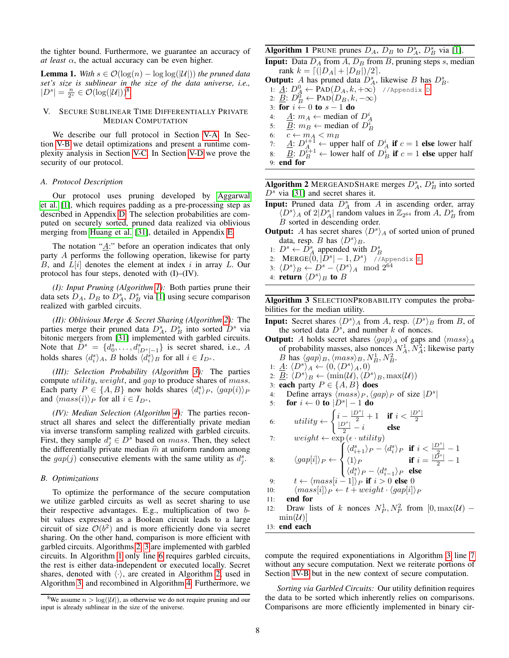the tighter bound. Furthermore, we guarantee an accuracy of *at least*  $\alpha$ , the actual accuracy can be even higher.

<span id="page-7-7"></span>**Lemma 1.** *With*  $s \in \mathcal{O}(\log(n) - \log \log(|\mathcal{U}|))$  *the pruned data set's size is sublinear in the size of the data universe, i.e.,*  $|D^s| = \frac{n}{2^s} \in \mathcal{O}(\log(|\mathcal{U}|))^8$  $|D^s| = \frac{n}{2^s} \in \mathcal{O}(\log(|\mathcal{U}|))^8$ .

#### <span id="page-7-0"></span>V. SECURE SUBLINEAR TIME DIFFERENTIALLY PRIVATE MEDIAN COMPUTATION

We describe our full protocol in Section [V-A.](#page-7-2) In Section [V-B](#page-7-3) we detail optimizations and present a runtime complexity analysis in Section [V-C.](#page-8-0) In Section [V-D](#page-8-1) we prove the security of our protocol.

# <span id="page-7-2"></span>*A. Protocol Description*

Our protocol uses pruning developed by [Aggarwal](#page-13-0) [et al.](#page-13-0) [\[1\]](#page-13-0), which requires padding as a pre-processing step as described in Appendix [D.](#page-15-1) The selection probabilities are computed on securely sorted, pruned data realized via oblivious merging from [Huang et al.](#page-13-22) [\[31\]](#page-13-22), detailed in Appendix [E.](#page-15-3)

The notation " $\underline{A}$ :" before an operation indicates that only party A performs the following operation, likewise for party B, and  $L[i]$  denotes the element at index i in array L. Our protocol has four steps, denoted with (I)–(IV).

*(I): Input Pruning (Algorithm [1\)](#page-7-4):* Both parties prune their data sets  $D_A$ ,  $D_B$  to  $D_A^s$ ,  $D_B^s$  via [\[1\]](#page-13-0) using secure comparison realized with garbled circuits.

*(II): Oblivious Merge & Secret Sharing (Algorithm [2\)](#page-7-5):* The parties merge their pruned data  $D_A^s$ ,  $D_B^s$  into sorted  $D^s$  via bitonic mergers from [\[31\]](#page-13-22) implemented with garbled circuits. Note that  $\bar{D}^s = \{d^s_0, \ldots, d^s_{|D^s|-1}\}\$  is secret shared, i.e., A holds shares  $\langle d_i^s \rangle_A$ , B holds  $\langle d_i^s \rangle_B$  for all  $i \in I_{D^s}$ .

*(III): Selection Probability (Algorithm [3\)](#page-7-6):* The parties compute utility, weight, and gap to produce shares of mass. Each party  $P \in \{A, B\}$  now holds shares  $\langle d_i^s \rangle_P$ ,  $\langle gap(i) \rangle_P$ and  $\langle mass(i)\rangle_P$  for all  $i \in I_{D^s}$ ,

*(IV): Median Selection (Algorithm [4\)](#page-8-2):* The parties reconstruct all shares and select the differentially private median via inverse transform sampling realized with garbled circuits. First, they sample  $d_j^s \in D^s$  based on *mass*. Then, they select the differentially private median  $\hat{m}$  at uniform random among the  $gap(j)$  consecutive elements with the same utility as  $d_j^s$ .

# <span id="page-7-3"></span>*B. Optimizations*

To optimize the performance of the secure computation we utilize garbled circuits as well as secret sharing to use their respective advantages. E.g., multiplication of two bbit values expressed as a Boolean circuit leads to a large circuit of size  $\mathcal{O}(b^2)$  and is more efficiently done via secret sharing. On the other hand, comparison is more efficient with garbled circuits. Algorithms [2,](#page-7-5) [3](#page-7-6) are implemented with garbled circuits. In Algorithm [1](#page-7-4) only line [6](#page-7-4) requires garbled circuits, the rest is either data-independent or executed locally. Secret shares, denoted with  $\langle \cdot \rangle$ , are created in Algorithm [2,](#page-7-5) used in Algorithm [3,](#page-7-6) and recombined in Algorithm [4.](#page-8-2) Furthermore, we

# **Algorithm 1** PRUNE prunes  $D_A$ ,  $D_B$  to  $D_A^s$ ,  $D_B^s$  via [\[1\]](#page-13-0).

<span id="page-7-4"></span>**Input:** Data  $D_A$  from  $A$ ,  $D_B$  from  $B$ , pruning steps  $s$ , median rank  $k = [(|D_A| + |D_B|)/2].$ 

**Output:** A has pruned data  $D_A^s$ , likewise B has  $D_B^s$ .

1:  $\underline{A}$ :  $D_{\underline{A}}^{0} \leftarrow \texttt{PAD}(D_{A}, k, +\infty)$  //Appendix [D](#page-15-1)

2:  $\underline{B}$ :  $D_B^0 \leftarrow \text{PAD}(D_B, k, -\infty)$ 

- 3: for  $i \leftarrow 0$  to  $s 1$  do
- 4:  $\underline{A}$ :  $m_A \leftarrow$  median of  $D_A^i$
- 5:  $\underline{B}$ :  $m_B \leftarrow$  median of  $D_B^i$
- 6:  $c \leftarrow m_A < m_B$
- 7:  $\underline{A}$ :  $D_{\underline{A}_{1,1}}^{i+1}$   $\leftarrow$  upper half of  $D_{\underline{A}}^{i}$  if  $c=1$  else lower half 8:  $\underline{B}$ :  $D_B^{\hat{i}+1}$   $\leftarrow$  lower half of  $D_B^{\hat{i}}$  if  $c = 1$  else upper half
- 9: end for

**Algorithm 2** MERGEANDSHARE merges  $D_A^s$ ,  $D_B^s$  into sorted  $D<sup>s</sup>$  via [\[31\]](#page-13-22) and secret shares it.

<span id="page-7-5"></span>**Input:** Pruned data  $D_A^s$  from A in ascending order, array  $\langle D^s \rangle_A$  of  $2|D_A^s|$  random values in  $\mathbb{Z}_{2^{64}}$  from A,  $D_B^s$  from B sorted in descending order.

**Output:** A has secret shares  $\langle D^s \rangle_A$  of sorted union of pruned data, resp. B has  $\langle D^s \rangle_B$ .

- 1:  $D^s \leftarrow \overline{D}_A^s$  appended with  $D_B^s$
- 2:  $\text{MERGE}(\vec{0},|\vec{D}^s|-1,D^s)$  /Appendix [E](#page-15-3)
- 3:  $\langle D^s \rangle_B \leftarrow D^s \langle D^s \rangle_A \mod 2^{64}$
- 4: return  $\langle D^s \rangle_B$  to  $B$

Algorithm 3 SELECTIONPROBABILITY computes the probabilities for the median utility.

- <span id="page-7-6"></span>**Input:** Secret shares  $\langle D^s \rangle_A$  from A, resp.  $\langle D^s \rangle_B$  from B, of the sorted data  $D^s$ , and number k of nonces.
- **Output:** A holds secret shares  $\langle gap \rangle_A$  of gaps and  $\langle mass \rangle_A$ of probability masses, also nonces  $N_A^1, N_A^2$ ; likewise party B has  $\langle gap \rangle_B, \langle mass \rangle_B, N_B^1, N_B^2$ .
	- 1:  $\underline{A}$ :  $\langle D^s \rangle_A \leftarrow (0, \langle D^s \rangle_A, 0)$
- 2:  $\underline{B}$ :  $\langle D^s \rangle_B \leftarrow (\min(\mathcal{U}), \langle D^s \rangle_B, \max(\mathcal{U}))$
- 3: each party  $P \in \{A, B\}$  does

4: Define arrays 
$$
\langle mass \rangle_P
$$
,  $\langle gap \rangle_P$  of size  $|D^s|$ 

5: for 
$$
i \leftarrow 0
$$
 to  $|D^s| - 1$  do

6. 
$$
utility \leftarrow \begin{cases} i - \frac{|D^s|}{2} + 1 & \text{if } i < \frac{|D^s|}{2} \\ \frac{|D^s|}{2} - i & \text{else} \end{cases}
$$

7:  $weight \leftarrow \exp\left(\epsilon \cdot utility\right)$  $\left($  $\int \frac{\langle d_{i+1}^s \rangle_P}{\langle 1 \rangle} = \frac{\langle d_i^s \rangle_P}{\langle d_i^s \rangle_P} \quad \text{if} \quad i < \frac{|D^s|}{2} - 1$ 

8: 
$$
\langle gap[i] \rangle_P \leftarrow \begin{cases} \langle 1 \rangle_P & \text{if } i = \frac{|\vec{D}^s|}{2} - 1 \\ \langle d_i^s \rangle_P - \langle d_{i-1}^s \rangle_P & \text{else} \end{cases}
$$

9: 
$$
t \leftarrow \langle mass[i-1] \rangle_P
$$
 if  $i > 0$  else 0

10: 
$$
\langle mass[i] \rangle_P \leftarrow t + weight \cdot \langle gap[i] \rangle_P
$$

$$
11: \quad end \ for
$$

12: Draw lists of k nonces  $N_P^1, N_P^2$  from  $[0, \max(U)$  –  $\min(\mathcal{U})$ 

13: end each

compute the required exponentiations in Algorithm [3](#page-7-6) line [7](#page-7-6) without any secure computation. Next we reiterate portions of Section [IV-B](#page-4-1) but in the new context of secure computation.

*Sorting via Garbled Circuits:* Our utility definition requires the data to be sorted which inherently relies on comparisons. Comparisons are more efficiently implemented in binary cir-

<span id="page-7-1"></span><sup>&</sup>lt;sup>8</sup>We assume  $n > log(|U|)$ , as otherwise we do not require pruning and our input is already sublinear in the size of the universe.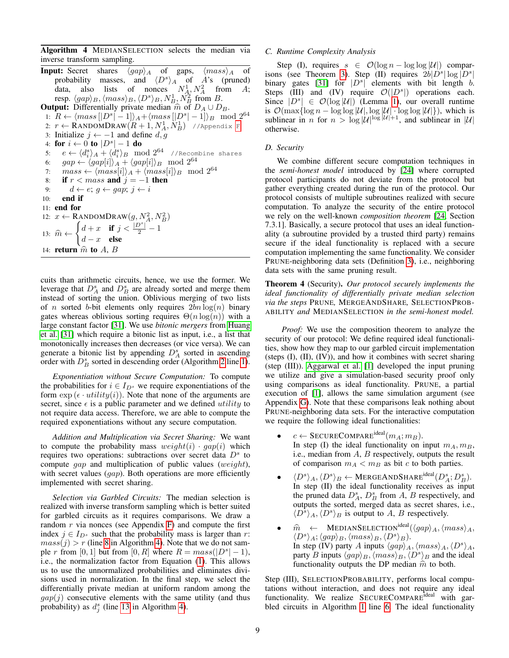Algorithm 4 MEDIANSELECTION selects the median via inverse transform sampling.

<span id="page-8-2"></span>**Input:** Secret shares  $\langle gap \rangle_A$  of gaps,  $\langle mass \rangle_A$  of probability masses, and  $\langle D^s \rangle_A$  of A's (pruned) data, also lists of nonces  $N_A^1, N_A^2$  from A; resp.  $\langle gap \rangle_B, \langle mass \rangle_B, \langle D^s \rangle_B, N_B^1, N_B^2$  from B. **Output:** Differentially private median  $\hat{m}$  of  $D_A \cup D_B$ . 1:  $R \leftarrow \langle mass\left[|D^s| - 1\right]\rangle_A + \langle mass\left[|D^s| - 1\right]\rangle_B \mod 2^{64}$ 2:  $r \leftarrow$  RANDOMDRAW $(R+1,N_A^1,N_B^1)$  //Appendix [F](#page-15-4) 3: Initialize  $j \leftarrow -1$  and define  $d, g$ 4: for  $i \leftarrow 0$  to  $|D^s| - 1$  do 5:  $e \leftarrow \langle d_i^s \rangle_A + \langle d_i^s \rangle_B \mod 2^{64}$  //Recombine shares 6:  $gap \leftarrow \langle gap[i]\rangle_A + \langle gap[i]\rangle_B \mod 2^{64}$ 7:  $mass \leftarrow \langle mass[i]\rangle_A + \langle mass[i]\rangle_B \mod 2^{64}$ 8: if  $r <$  mass and  $j = -1$  then 9:  $d \leftarrow e$ ;  $q \leftarrow gap$ ;  $j \leftarrow i$ 10: end if 11: end for 12:  $x \leftarrow \text{R} \text{ANDOMDRAW}(g, N_A^2, N_B^2)$ 13:  $\widehat{m} \leftarrow$  $\int d+x$  if  $j<\frac{|D^s|}{2}-1$  $d-x$  else 14: return  $\hat{m}$  to A, B

cuits than arithmetic circuits, hence, we use the former. We leverage that  $D_A^s$  and  $D_B^s$  are already sorted and merge them instead of sorting the union. Oblivious merging of two lists of *n* sorted *b*-bit elements only requires  $2bn \log(n)$  binary gates whereas oblivious sorting requires  $\Theta(n \log(n))$  with a large constant factor [\[31\]](#page-13-22). We use *bitonic mergers* from [Huang](#page-13-22) [et al.](#page-13-22) [\[31\]](#page-13-22) which require a bitonic list as input, i.e., a list that monotonically increases then decreases (or vice versa). We can generate a bitonic list by appending  $D_A^s$  sorted in ascending order with  $D_B^s$  sorted in descending order (Algorithm [2](#page-7-5) line [1\)](#page-7-5).

*Exponentiation without Secure Computation:* To compute the probabilities for  $i \in I_{D^s}$  we require exponentiations of the form  $\exp(\epsilon \cdot \text{utility}(i))$ . Note that none of the arguments are secret, since  $\epsilon$  is a public parameter and we defined *utility* to not require data access. Therefore, we are able to compute the required exponentiations without any secure computation.

*Addition and Multiplication via Secret Sharing:* We want to compute the probability mass  $weight(i) \cdot gap(i)$  which requires two operations: subtractions over secret data  $D<sup>s</sup>$  to compute gap and multiplication of public values (weight), with secret values  $(qap)$ . Both operations are more efficiently implemented with secret sharing.

*Selection via Garbled Circuits:* The median selection is realized with inverse transform sampling which is better suited for garbled circuits as it requires comparisons. We draw a random  $r$  via nonces (see Appendix [F\)](#page-15-4) and compute the first index  $j \in I_{D^s}$  such that the probability mass is larger than r:  $mass(j) > r$  (line [8](#page-8-2) in Algorithm [4\)](#page-8-2). Note that we do not sample r from [0, 1] but from [0, R] where  $R = mass(|D^s| - 1)$ , i.e., the normalization factor from Equation [\(1\)](#page-3-0). This allows us to use the unnormalized probabilities and eliminates divisions used in normalization. In the final step, we select the differentially private median at uniform random among the  $gap(j)$  consecutive elements with the same utility (and thus probability) as  $d_j^s$  (line [13](#page-8-2) in Algorithm [4\)](#page-8-2).

## <span id="page-8-0"></span>*C. Runtime Complexity Analysis*

Step (I), requires  $s \in \mathcal{O}(\log n - \log \log |\mathcal{U}|)$  compar-isons (see Theorem [3\)](#page-6-4). Step (II) requires  $2b|D^s|\log |D^s|$ binary gates [\[31\]](#page-13-22) for  $|D^s|$  elements with bit length b. Steps (III) and (IV) require  $\mathcal{O}(|D^s|)$  operations each. Since  $|D^s| \in \mathcal{O}(\log |\mathcal{U}|)$  (Lemma [1\)](#page-7-7), our overall runtime is  $\mathcal{O}(\max\{\log n - \log \log |\mathcal{U}|, \log |\mathcal{U}| \cdot \log \log |\mathcal{U}|\})$ , which is sublinear in *n* for  $n > log |\mathcal{U}|^{\log |\mathcal{U}|+1}$ , and sublinear in |U| otherwise.

# <span id="page-8-1"></span>*D. Security*

We combine different secure computation techniques in the *semi-honest model* introduced by [\[24\]](#page-13-8) where corrupted protocol participants do not deviate from the protocol but gather everything created during the run of the protocol. Our protocol consists of multiple subroutines realized with secure computation. To analyze the security of the entire protocol we rely on the well-known *composition theorem* [\[24,](#page-13-8) Section 7.3.1]. Basically, a secure protocol that uses an ideal functionality (a subroutine provided by a trusted third party) remains secure if the ideal functionality is replaced with a secure computation implementing the same functionality. We consider PRUNE-neighboring data sets (Definition [3\)](#page-3-2), i.e., neighboring data sets with the same pruning result.

Theorem 4 (Security). *Our protocol securely implements the ideal functionality of differentially private median selection via the steps* PRUNE*,* MERGEANDSHARE*,* SELECTIONPROB-ABILITY *and* MEDIANSELECTION *in the semi-honest model.*

*Proof:* We use the composition theorem to analyze the security of our protocol: We define required ideal functionalities, show how they map to our garbled circuit implementation (steps (I), (II), (IV)), and how it combines with secret sharing (step (III)). [Aggarwal et al.](#page-13-0) [\[1\]](#page-13-0) developed the input pruning we utilize and give a simulation-based security proof only using comparisons as ideal functionality. PRUNE, a partial execution of [\[1\]](#page-13-0), allows the same simulation argument (see Appendix [G\)](#page-16-0). Note that these comparisons leak nothing about PRUNE-neighboring data sets. For the interactive computation we require the following ideal functionalities:

- $c \leftarrow$  SECURECOMPARE<sup>ideal</sup> $(m_A; m_B)$ . In step (I) the ideal functionality on input  $m_A, m_B$ , i.e., median from  $A$ ,  $B$  respectively, outputs the result of comparison  $m_A < m_B$  as bit c to both parties.
- $\bullet \hspace{10pt} \langle D^s \rangle_A, \langle D^s \rangle_B \leftarrow \mathrm{MERGEANDSHARE}^{\mathrm{ideal}}(D^s_A; D^s_B).$ In step (II) the ideal functionality receives as input the pruned data  $D_A^s$ ,  $D_B^s$  from A, B respectively, and outputs the sorted, merged data as secret shares, i.e.,  $\langle D^s \rangle_A, \langle D^s \rangle_B$  is output to A, B respectively.
- $\hat{m} \leftarrow \text{MEDIANSELECTION}^{\text{ideal}}(\langle gap \rangle_A, \langle mass \rangle_A,$  $\langle D^s \rangle_A; \langle gap \rangle_B, \langle mass \rangle_B, \langle D^s \rangle_B).$ In step (IV) party A inputs  $\langle gap \rangle_A, \langle mass \rangle_A, \langle D^s \rangle_A$ , party B inputs  $\langle gap \rangle_B$ ,  $\langle mass \rangle_B$ ,  $\langle D^s \rangle_B$  and the ideal functionality outputs the DP median  $\hat{m}$  to both.

Step (III), SELECTIONPROBABILITY, performs local computations without interaction, and does not require any ideal functionality. We realize SECURECOMPARE<sup>ideal</sup> with garbled circuits in Algorithm [1](#page-7-4) line [6.](#page-7-4) The ideal functionality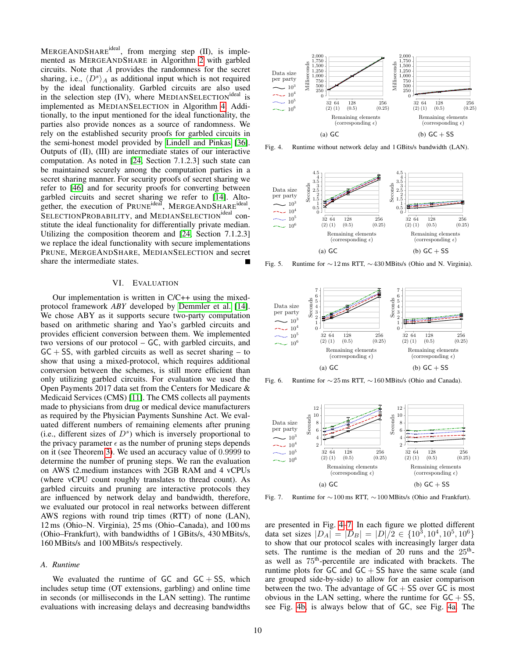MERGEANDSHARE<sup>ideal</sup>, from merging step (II), is implemented as MERGEANDSHARE in Algorithm [2](#page-7-5) with garbled circuits. Note that A provides the randomness for the secret sharing, i.e.,  $\langle D^s \rangle_A$  as additional input which is not required by the ideal functionality. Garbled circuits are also used in the selection step  $(IV)$ , where MEDIANSELECTION<sup>ideal</sup> is implemented as MEDIANSELECTION in Algorithm [4.](#page-8-2) Additionally, to the input mentioned for the ideal functionality, the parties also provide nonces as a source of randomness. We rely on the established security proofs for garbled circuits in the semi-honest model provided by [Lindell and Pinkas](#page-14-18) [\[36\]](#page-14-18). Outputs of (II), (III) are intermediate states of our interactive computation. As noted in [\[24,](#page-13-8) Section 7.1.2.3] such state can be maintained securely among the computation parties in a secret sharing manner. For security proofs of secret sharing we refer to [\[46\]](#page-14-19) and for security proofs for converting between garbled circuits and secret sharing we refer to [\[14\]](#page-13-24). Altogether, the execution of PRUNE<sup>ideal</sup>, MERGEANDSHARE<sup>ideal</sup>, SELECTIONPROBABILITY, and MEDIANSELECTION<sup>ideal</sup> constitute the ideal functionality for differentially private median. Utilizing the composition theorem and [\[24,](#page-13-8) Section 7.1.2.3] we replace the ideal functionality with secure implementations PRUNE, MERGEANDSHARE, MEDIANSELECTION and secret share the intermediate states.  $\blacksquare$ 

# VI. EVALUATION

<span id="page-9-0"></span>Our implementation is written in C/C++ using the mixedprotocol framework *ABY* developed by [Demmler et al.](#page-13-24) [\[14\]](#page-13-24). We chose ABY as it supports secure two-party computation based on arithmetic sharing and Yao's garbled circuits and provides efficient conversion between them. We implemented two versions of our protocol – GC, with garbled circuits, and  $GC + SS$ , with garbled circuits as well as secret sharing – to show that using a mixed-protocol, which requires additional conversion between the schemes, is still more efficient than only utilizing garbled circuits. For evaluation we used the Open Payments 2017 data set from the Centers for Medicare & Medicaid Services (CMS) [\[11\]](#page-13-5). The CMS collects all payments made to physicians from drug or medical device manufacturers as required by the Physician Payments Sunshine Act. We evaluated different numbers of remaining elements after pruning (i.e., different sizes of  $D<sup>s</sup>$ ) which is inversely proportional to the privacy parameter  $\epsilon$  as the number of pruning steps depends on it (see Theorem [3\)](#page-6-4). We used an accuracy value of 0.9999 to determine the number of pruning steps. We ran the evaluation on AWS t2.medium instances with 2GB RAM and 4 vCPUs (where vCPU count roughly translates to thread count). As garbled circuits and pruning are interactive protocols they are influenced by network delay and bandwidth, therefore, we evaluated our protocol in real networks between different AWS regions with round trip times (RTT) of none (LAN), 12 ms (Ohio–N. Virginia), 25 ms (Ohio–Canada), and 100 ms (Ohio–Frankfurt), with bandwidths of 1 GBits/s, 430 MBits/s, 160 MBits/s and 100 MBits/s respectively.

#### *A. Runtime*

We evaluated the runtime of  $GC$  and  $GC + SS$ , which includes setup time (OT extensions, garbling) and online time in seconds (or milliseconds in the LAN setting). The runtime evaluations with increasing delays and decreasing bandwidths

<span id="page-9-4"></span>

<span id="page-9-3"></span>Fig. 4. Runtime without network delay and 1 GBits/s bandwidth (LAN).

<span id="page-9-6"></span><span id="page-9-1"></span>

<span id="page-9-5"></span>Fig. 5. Runtime for ∼12 ms RTT, ∼430 MBits/s (Ohio and N. Virginia).



<span id="page-9-8"></span><span id="page-9-7"></span>Fig. 6. Runtime for ∼25 ms RTT, ∼160 MBits/s (Ohio and Canada).



<span id="page-9-9"></span><span id="page-9-2"></span>Fig. 7. Runtime for ∼100 ms RTT, ∼100 MBits/s (Ohio and Frankfurt).

are presented in Fig. [4–](#page-9-1)[7.](#page-9-2) In each figure we plotted different data set sizes  $|D_A| = |D_B| = |D|/2 \in \{10^3, 10^4, 10^5, 10^6\}$ to show that our protocol scales with increasingly larger data sets. The runtime is the median of 20 runs and the  $25<sup>th</sup>$ as well as 75th-percentile are indicated with brackets. The runtime plots for  $GC$  and  $GC + SS$  have the same scale (and are grouped side-by-side) to allow for an easier comparison between the two. The advantage of  $GC + SS$  over  $GC$  is most obvious in the LAN setting, where the runtime for  $GC + SS$ , see Fig. [4b,](#page-9-3) is always below that of GC, see Fig. [4a.](#page-9-4) The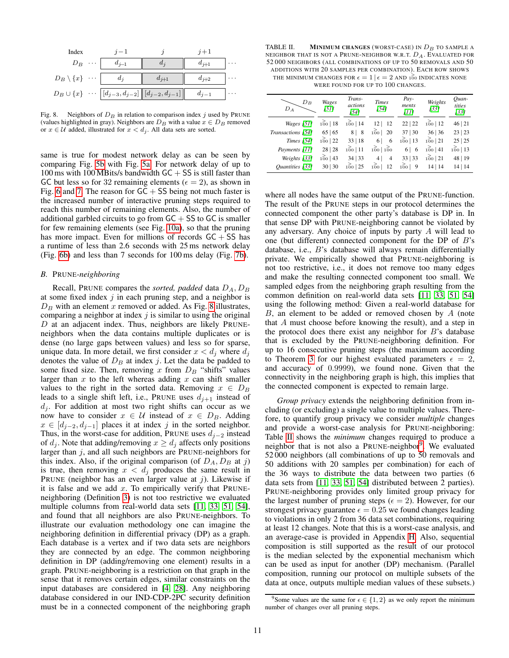| Index                        |                                                                      |           |   |
|------------------------------|----------------------------------------------------------------------|-----------|---|
| $D_B$                        | $d_{i-1}$                                                            |           |   |
| $D_B \setminus \{x\} \cdots$ |                                                                      | $d_{i+2}$ | . |
|                              | $D_B \cup \{x\} \cup \{[d_{j-3}, d_{j-2}]\,\  [d_{j-2}, d_{j-1}]\}\$ | $d_{i-1}$ |   |

<span id="page-10-0"></span>Fig. 8. Neighbors of  $D_B$  in relation to comparison index j used by PRUNE (values highlighted in gray). Neighbors are  $D_B$  with a value  $x \in D_B$  removed or  $x \in U$  added, illustrated for  $x < d_i$ . All data sets are sorted.

same is true for modest network delay as can be seen by comparing Fig. [5b](#page-9-5) with Fig. [5a.](#page-9-6) For network delay of up to 100 ms with 100 MBits/s bandwidth  $GC + SS$  is still faster than GC but less so for 32 remaining elements ( $\epsilon = 2$ ), as shown in Fig. [6](#page-9-7) and [7.](#page-9-2) The reason for  $GC + SS$  being not much faster is the increased number of interactive pruning steps required to reach this number of remaining elements. Also, the number of additional garbled circuits to go from  $GC + SS$  to  $GC$  is smaller for few remaining elements (see Fig. [10a\)](#page-11-1), so that the pruning has more impact. Even for millions of records  $GC + SS$  has a runtime of less than 2.6 seconds with 25 ms network delay (Fig. [6b\)](#page-9-8) and less than 7 seconds for 100 ms delay (Fig. [7b\)](#page-9-9).

# *B.* PRUNE*-neighboring*

Recall, PRUNE compares the *sorted, padded* data  $D_A$ ,  $D_B$ at some fixed index  $j$  in each pruning step, and a neighbor is  $D_B$  with an element x removed or added. As Fig. [8](#page-10-0) illustrates, comparing a neighbor at index  $j$  is similar to using the original  $D$  at an adjacent index. Thus, neighbors are likely PRUNEneighbors when the data contains multiple duplicates or is dense (no large gaps between values) and less so for sparse, unique data. In more detail, we first consider  $x < d_j$  where  $d_j$ denotes the value of  $D_B$  at index j. Let the data be padded to some fixed size. Then, removing x from  $D<sub>B</sub>$  "shifts" values larger than  $x$  to the left whereas adding  $x$  can shift smaller values to the right in the sorted data. Removing  $x \in D_B$ leads to a single shift left, i.e., PRUNE uses  $d_{i+1}$  instead of  $d_j$ . For addition at most two right shifts can occur as we now have to consider  $x \in \mathcal{U}$  instead of  $x \in D_B$ . Adding  $x \in [d_{j-2}, d_{j-1}]$  places it at index j in the sorted neighbor. Thus, in the worst-case for addition, PRUNE uses  $d_{j-2}$  instead of  $d_j$ . Note that adding/removing  $x \geq d_j$  affects only positions larger than  $j$ , and all such neighbors are PRUNE-neighbors for this index. Also, if the original comparison (of  $D_A$ ,  $D_B$  at j) is true, then removing  $x < d_j$  produces the same result in PRUNE (neighbor has an even larger value at  $j$ ). Likewise if it is false and we add  $x$ . To empirically verify that PRUNEneighboring (Definition [3\)](#page-3-2) is not too restrictive we evaluated multiple columns from real-world data sets [\[11,](#page-13-5) [33,](#page-13-6) [51,](#page-14-1) [54\]](#page-14-2), and found that all neighbors are also PRUNE-neighbors. To illustrate our evaluation methodology one can imagine the neighboring definition in differential privacy (DP) as a graph. Each database is a vertex and if two data sets are neighbors they are connected by an edge. The common neighboring definition in DP (adding/removing one element) results in a graph. PRUNE-neighboring is a restriction on that graph in the sense that it removes certain edges, similar constraints on the input databases are considered in [\[4,](#page-13-25) [28\]](#page-13-4). Any neighboring database considered in our IND-CDP-2PC security definition must be in a connected component of the neighboring graph

<span id="page-10-1"></span>TABLE II. MINIMUM CHANGES (WORST-CASE) IN  $D_B$  to sample a NEIGHBOR THAT IS NOT A PRUNE-NEIGHBOR W.R.T.  $D_A$ . EVALUATED FOR 52 000 NEIGHBORS (ALL COMBINATIONS OF UP TO 50 REMOVALS AND 50 ADDITIONS WITH 20 SAMPLES PER COMBINATION). EACH ROW SHOWS THE MINIMUM CHANGES FOR  $\epsilon = 1 \, | \, \epsilon = 2$  and  $100$  indicates none WERE FOUND FOR UP TO 100 CHANGES.

| $D_B$<br>$D_A$    | Wages<br>[51] | Trans-<br>actions<br>1541 | <b>Times</b><br>[54]              | Pay-<br>ments<br>[11] | Weights<br>[33] | Ouan-<br>tities<br>[33] |
|-------------------|---------------|---------------------------|-----------------------------------|-----------------------|-----------------|-------------------------|
| Wages [51]        | 100 18        | 100 14                    | 12   12                           | 22   22               | 100 12          | 46 21                   |
| Transactions [54] | 65   65       | 8   8                     | $100$   20                        | 37   30               | 36 36           | 23   23                 |
| <i>Times</i> [54] | $100$   22    | 33   18                   | 6<br>6                            | 100 13                | $100$   21      | 25 25                   |
| Payments [11]     | 28 28         | 100 11                    | $\frac{2}{100}$   $\frac{2}{100}$ | 6 6                   | 100141          | $\frac{>}{100}$   13    |
| Weights [33]      | 100 43        | 34   33                   | $\overline{4}$<br>4               | 33   33               | 100 21          | 48   19                 |
| Ouantities [33]   | 30 30         | $100$   25                | $\frac{2}{100}$<br>12             | $100$   9             | 14 14           | 14 14                   |

where all nodes have the same output of the PRUNE-function. The result of the PRUNE steps in our protocol determines the connected component the other party's database is DP in. In that sense DP with PRUNE-neighboring cannot be violated by any adversary. Any choice of inputs by party A will lead to one (but different) connected component for the DP of B's database, i.e., B's database will always remain differentially private. We empirically showed that PRUNE-neighboring is not too restrictive, i.e., it does not remove too many edges and make the resulting connected component too small. We sampled edges from the neighboring graph resulting from the common definition on real-world data sets [\[11,](#page-13-5) [33,](#page-13-6) [51,](#page-14-1) [54\]](#page-14-2) using the following method: Given a real-world database for B, an element to be added or removed chosen by A (note that A must choose before knowing the result), and a step in the protocol does there exist any neighbor for  $B$ 's database that is excluded by the PRUNE-neighboring definition. For up to 16 consecutive pruning steps (the maximum according to Theorem [3](#page-6-4) for our highest evaluated parameters  $\epsilon = 2$ , and accuracy of 0.9999), we found none. Given that the connectivity in the neighboring graph is high, this implies that the connected component is expected to remain large.

*Group privacy* extends the neighboring definition from including (or excluding) a single value to multiple values. Therefore, to quantify group privacy we consider *multiple* changes and provide a worst-case analysis for PRUNE-neighboring: Table [II](#page-10-1) shows the *minimum* changes required to produce a neighbor that is not also a PRUNE-neighbor<sup>[9](#page-10-2)</sup>. We evaluated 52 000 neighbors (all combinations of up to 50 removals and 50 additions with 20 samples per combination) for each of the 36 ways to distribute the data between two parties (6 data sets from [\[11,](#page-13-5) [33,](#page-13-6) [51,](#page-14-1) [54\]](#page-14-2) distributed between 2 parties). PRUNE-neighboring provides only limited group privacy for the largest number of pruning steps ( $\epsilon = 2$ ). However, for our strongest privacy guarantee  $\epsilon = 0.25$  we found changes leading to violations in only 2 from 36 data set combinations, requiring at least 12 changes. Note that this is a worst-case analysis, and an average-case is provided in Appendix [H.](#page-16-1) Also, sequential composition is still supported as the result of our protocol is the median selected by the exponential mechanism which can be used as input for another (DP) mechanism. (Parallel composition, running our protocol on multiple subsets of the data at once, outputs multiple median values of these subsets.)

<span id="page-10-2"></span><sup>&</sup>lt;sup>9</sup>Some values are the same for  $\epsilon \in \{1,2\}$  as we only report the minimum number of changes over all pruning steps.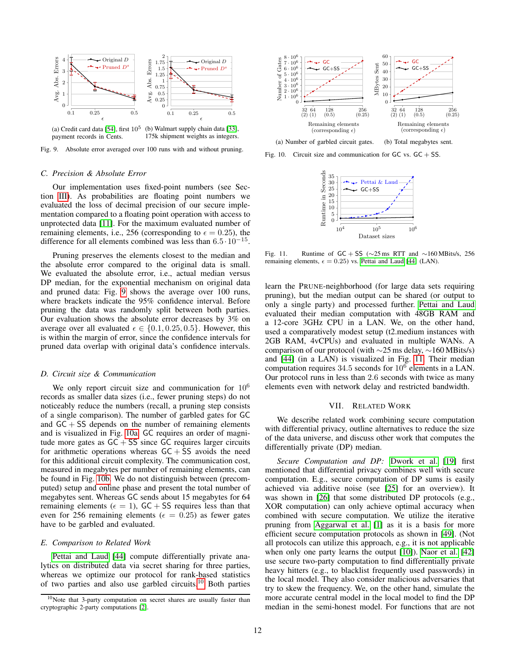

(a) Credit card data [\[54\]](#page-14-2), first  $10^5$ payment records in Cents. (b) Walmart supply chain data [\[33\]](#page-13-6), 175k shipment weights as integers.

Fig. 9. Absolute error averaged over 100 runs with and without pruning.

#### *C. Precision & Absolute Error*

Our implementation uses fixed-point numbers (see Section [III\)](#page-2-0). As probabilities are floating point numbers we evaluated the loss of decimal precision of our secure implementation compared to a floating point operation with access to unprotected data [\[11\]](#page-13-5). For the maximum evaluated number of remaining elements, i.e., 256 (corresponding to  $\epsilon = 0.25$ ), the difference for all elements combined was less than 6.5·10<sup>−</sup><sup>15</sup> .

Pruning preserves the elements closest to the median and the absolute error compared to the original data is small. We evaluated the absolute error, i.e., actual median versus DP median, for the exponential mechanism on original data and pruned data: Fig. [9](#page-11-2) shows the average over 100 runs, where brackets indicate the 95% confidence interval. Before pruning the data was randomly split between both parties. Our evaluation shows the absolute error decreases by 3% on average over all evaluated  $\epsilon \in \{0.1, 0.25, 0.5\}$ . However, this is within the margin of error, since the confidence intervals for pruned data overlap with original data's confidence intervals.

### *D. Circuit size & Communication*

We only report circuit size and communication for  $10^6$ records as smaller data sizes (i.e., fewer pruning steps) do not noticeably reduce the numbers (recall, a pruning step consists of a single comparison). The number of garbled gates for GC and  $GC + SS$  depends on the number of remaining elements and is visualized in Fig. [10a.](#page-11-1) GC requires an order of magnitude more gates as  $GC + SS$  since  $GC$  requires larger circuits for arithmetic operations whereas  $GC + SS$  avoids the need for this additional circuit complexity. The communication cost, measured in megabytes per number of remaining elements, can be found in Fig. [10b.](#page-11-3) We do not distinguish between (precomputed) setup and online phase and present the total number of megabytes sent. Whereas GC sends about 15 megabytes for 64 remaining elements ( $\epsilon = 1$ ), GC + SS requires less than that even for 256 remaining elements ( $\epsilon = 0.25$ ) as fewer gates have to be garbled and evaluated.

#### *E. Comparison to Related Work*

[Pettai and Laud](#page-14-4) [\[44\]](#page-14-4) compute differentially private analytics on distributed data via secret sharing for three parties, whereas we optimize our protocol for rank-based statistics of two parties and also use garbled circuits.<sup>[10](#page-11-4)</sup> Both parties

<span id="page-11-1"></span>

<span id="page-11-2"></span>Fig. 10. Circuit size and communication for  $GC$  vs.  $GC + SS$ .

<span id="page-11-5"></span><span id="page-11-3"></span>

Fig. 11. Runtime of GC + SS ( $\sim$ 25 ms RTT and  $\sim$ 160 MBits/s, 256 remaining elements,  $\epsilon = 0.25$ ) vs. [Pettai and Laud](#page-14-4) [\[44\]](#page-14-4) (LAN).

learn the PRUNE-neighborhood (for large data sets requiring pruning), but the median output can be shared (or output to only a single party) and processed further. [Pettai and Laud](#page-14-4) evaluated their median computation with 48GB RAM and a 12-core 3GHz CPU in a LAN. We, on the other hand, used a comparatively modest setup (t2.medium instances with 2GB RAM, 4vCPUs) and evaluated in multiple WANs. A comparison of our protocol (with ∼25 ms delay, ∼160 MBits/s) and [\[44\]](#page-14-4) (in a LAN) is visualized in Fig. [11.](#page-11-5) Their median computation requires  $34.5$  seconds for  $10^6$  elements in a LAN. Our protocol runs in less than 2.6 seconds with twice as many elements even with network delay and restricted bandwidth.

#### VII. RELATED WORK

<span id="page-11-0"></span>We describe related work combining secure computation with differential privacy, outline alternatives to reduce the size of the data universe, and discuss other work that computes the differentially private (DP) median.

*Secure Computation and DP:* [Dwork et al.](#page-13-16) [\[19\]](#page-13-16) first mentioned that differential privacy combines well with secure computation. E.g., secure computation of DP sums is easily achieved via additive noise (see [\[25\]](#page-13-17) for an overview). It was shown in [\[26\]](#page-13-27) that some distributed DP protocols (e.g., XOR computation) can only achieve optimal accuracy when combined with secure computation. We utilize the iterative pruning from [Aggarwal et al.](#page-13-0) [\[1\]](#page-13-0) as it is a basis for more efficient secure computation protocols as shown in [\[49\]](#page-14-20). (Not all protocols can utilize this approach, e.g., it is not applicable when only one party learns the output [\[10\]](#page-13-28)). [Naor et al.](#page-14-21) [\[42\]](#page-14-21) use secure two-party computation to find differentially private heavy hitters (e.g., to blacklist frequently used passwords) in the local model. They also consider malicious adversaries that try to skew the frequency. We, on the other hand, simulate the more accurate central model in the local model to find the DP median in the semi-honest model. For functions that are not

<span id="page-11-4"></span><sup>&</sup>lt;sup>10</sup>Note that 3-party computation on secret shares are usually faster than cryptographic 2-party computations [\[2\]](#page-13-26).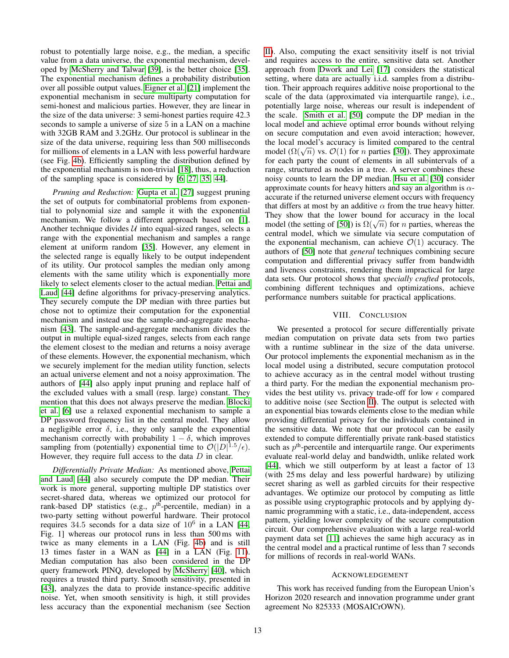robust to potentially large noise, e.g., the median, a specific value from a data universe, the exponential mechanism, developed by [McSherry and Talwar](#page-14-3) [\[39\]](#page-14-3), is the better choice [\[35\]](#page-14-11). The exponential mechanism defines a probability distribution over all possible output values. [Eigner et al.](#page-13-29) [\[21\]](#page-13-29) implement the exponential mechanism in secure multiparty computation for semi-honest and malicious parties. However, they are linear in the size of the data universe: 3 semi-honest parties require 42.3 seconds to sample a universe of size 5 in a LAN on a machine with 32GB RAM and 3.2GHz. Our protocol is sublinear in the size of the data universe, requiring less than 500 milliseconds for millions of elements in a LAN with less powerful hardware (see Fig. [4b\)](#page-9-3). Efficiently sampling the distribution defined by the exponential mechanism is non-trivial [\[18\]](#page-13-7), thus, a reduction of the sampling space is considered by [\[6,](#page-13-30) [27,](#page-13-23) [35,](#page-14-11) [44\]](#page-14-4).

*Pruning and Reduction:* [Gupta et al.](#page-13-23) [\[27\]](#page-13-23) suggest pruning the set of outputs for combinatorial problems from exponential to polynomial size and sample it with the exponential mechanism. We follow a different approach based on [\[1\]](#page-13-0). Another technique divides  $U$  into equal-sized ranges, selects a range with the exponential mechanism and samples a range element at uniform random [\[35\]](#page-14-11). However, any element in the selected range is equally likely to be output independent of its utility. Our protocol samples the median only among elements with the same utility which is exponentially more likely to select elements closer to the actual median. [Pettai and](#page-14-4) [Laud](#page-14-4) [\[44\]](#page-14-4) define algorithms for privacy-preserving analytics. They securely compute the DP median with three parties but chose not to optimize their computation for the exponential mechanism and instead use the sample-and-aggregate mechanism [\[43\]](#page-14-5). The sample-and-aggregate mechanism divides the output in multiple equal-sized ranges, selects from each range the element closest to the median and returns a noisy average of these elements. However, the exponential mechanism, which we securely implement for the median utility function, selects an actual universe element and not a noisy approximation. The authors of [\[44\]](#page-14-4) also apply input pruning and replace half of the excluded values with a small (resp. large) constant. They mention that this does not always preserve the median. [Blocki](#page-13-30) [et al.](#page-13-30) [\[6\]](#page-13-30) use a relaxed exponential mechanism to sample a DP password frequency list in the central model. They allow a negligible error  $\delta$ , i.e., they only sample the exponential mechanism correctly with probability  $1 - \delta$ , which improves sampling from (potentially) exponential time to  $\mathcal{O}(|D|^{1.5}/\epsilon)$ . However, they require full access to the data  $D$  in clear.

*Differentially Private Median:* As mentioned above, [Pettai](#page-14-4) [and Laud](#page-14-4) [\[44\]](#page-14-4) also securely compute the DP median. Their work is more general, supporting multiple DP statistics over secret-shared data, whereas we optimized our protocol for rank-based DP statistics (e.g.,  $p<sup>th</sup>$ -percentile, median) in a two-party setting without powerful hardware. Their protocol requires 34.5 seconds for a data size of  $10^6$  in a LAN [\[44,](#page-14-4) Fig. 1] whereas our protocol runs in less than 500 ms with twice as many elements in a LAN (Fig. [4b\)](#page-9-3) and is still 13 times faster in a WAN as [\[44\]](#page-14-4) in a LAN (Fig. [11\)](#page-11-5). Median computation has also been considered in the DP query framework PINQ, developed by [McSherry](#page-14-22) [\[40\]](#page-14-22), which requires a trusted third party. Smooth sensitivity, presented in [\[43\]](#page-14-5), analyzes the data to provide instance-specific additive noise. Yet, when smooth sensitivity is high, it still provides less accuracy than the exponential mechanism (see Section [II\)](#page-1-0). Also, computing the exact sensitivity itself is not trivial and requires access to the entire, sensitive data set. Another approach from [Dwork and Lei](#page-13-31) [\[17\]](#page-13-31) considers the statistical setting, where data are actually i.i.d. samples from a distribution. Their approach requires additive noise proportional to the scale of the data (approximated via interquartile range), i.e., potentially large noise, whereas our result is independent of the scale. [Smith et al.](#page-14-10) [\[50\]](#page-14-10) compute the DP median in the local model and achieve optimal error bounds without relying on secure computation and even avoid interaction; however, the local model's accuracy is limited compared to the central the local model is accuracy is limited compared to the central model  $(\Omega(\sqrt{n})$  vs.  $\mathcal{O}(1)$  for *n* parties [\[30\]](#page-13-15)). They approximate for each party the count of elements in all subintervals of a range, structured as nodes in a tree. A server combines these noisy counts to learn the DP median. [Hsu et al.](#page-13-15) [\[30\]](#page-13-15) consider approximate counts for heavy hitters and say an algorithm is  $\alpha$ accurate if the returned universe element occurs with frequency that differs at most by an additive  $\alpha$  from the true heavy hitter. They show that the lower bound for accuracy in the local They show that the lower bound for accuracy in the local model (the setting of [\[50\]](#page-14-10)) is  $\Omega(\sqrt{n})$  for *n* parties, whereas the central model, which we simulate via secure computation of the exponential mechanism, can achieve  $\mathcal{O}(1)$  accuracy. The authors of [\[50\]](#page-14-10) note that *general* techniques combining secure computation and differential privacy suffer from bandwidth and liveness constraints, rendering them impractical for large data sets. Our protocol shows that *specially crafted* protocols, combining different techniques and optimizations, achieve performance numbers suitable for practical applications.

# VIII. CONCLUSION

<span id="page-12-0"></span>We presented a protocol for secure differentially private median computation on private data sets from two parties with a runtime sublinear in the size of the data universe. Our protocol implements the exponential mechanism as in the local model using a distributed, secure computation protocol to achieve accuracy as in the central model without trusting a third party. For the median the exponential mechanism provides the best utility vs. privacy trade-off for low  $\epsilon$  compared to additive noise (see Section [II\)](#page-1-0). The output is selected with an exponential bias towards elements close to the median while providing differential privacy for the individuals contained in the sensitive data. We note that our protocol can be easily extended to compute differentially private rank-based statistics such as  $p<sup>th</sup>$ -percentile and interquartile range. Our experiments evaluate real-world delay and bandwidth, unlike related work [\[44\]](#page-14-4), which we still outperform by at least a factor of 13 (with 25 ms delay and less powerful hardware) by utilizing secret sharing as well as garbled circuits for their respective advantages. We optimize our protocol by computing as little as possible using cryptographic protocols and by applying dynamic programming with a static, i.e., data-independent, access pattern, yielding lower complexity of the secure computation circuit. Our comprehensive evaluation with a large real-world payment data set [\[11\]](#page-13-5) achieves the same high accuracy as in the central model and a practical runtime of less than 7 seconds for millions of records in real-world WANs.

# ACKNOWLEDGEMENT

This work has received funding from the European Union's Horizon 2020 research and innovation programme under grant agreement No 825333 (MOSAICrOWN).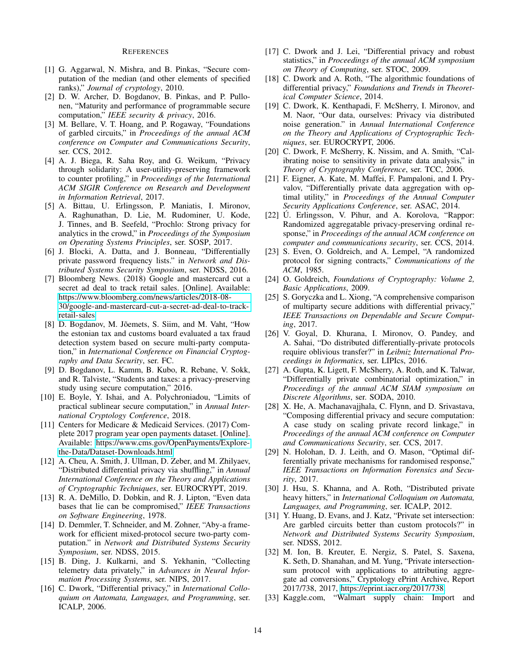#### **REFERENCES**

- <span id="page-13-0"></span>[1] G. Aggarwal, N. Mishra, and B. Pinkas, "Secure computation of the median (and other elements of specified ranks)," *Journal of cryptology*, 2010.
- <span id="page-13-26"></span>[2] D. W. Archer, D. Bogdanov, B. Pinkas, and P. Pullonen, "Maturity and performance of programmable secure computation," *IEEE security & privacy*, 2016.
- <span id="page-13-32"></span>[3] M. Bellare, V. T. Hoang, and P. Rogaway, "Foundations of garbled circuits," in *Proceedings of the annual ACM conference on Computer and Communications Security*, ser. CCS, 2012.
- <span id="page-13-25"></span>[4] A. J. Biega, R. Saha Roy, and G. Weikum, "Privacy through solidarity: A user-utility-preserving framework to counter profiling," in *Proceedings of the International ACM SIGIR Conference on Research and Development in Information Retrieval*, 2017.
- <span id="page-13-13"></span>[5] A. Bittau, U. Erlingsson, P. Maniatis, I. Mironov, A. Raghunathan, D. Lie, M. Rudominer, U. Kode, J. Tinnes, and B. Seefeld, "Prochlo: Strong privacy for analytics in the crowd," in *Proceedings of the Symposium on Operating Systems Principles*, ser. SOSP, 2017.
- <span id="page-13-30"></span>[6] J. Blocki, A. Datta, and J. Bonneau, "Differentially private password frequency lists." in *Network and Distributed Systems Security Symposium*, ser. NDSS, 2016.
- <span id="page-13-9"></span>[7] Bloomberg News. (2018) Google and mastercard cut a secret ad deal to track retail sales. [Online]. Available: [https://www.bloomberg.com/news/articles/2018-08-](https://www.bloomberg.com/news/articles/2018-08-30/google-and-mastercard-cut-a-secret-ad-deal-to-track-retail-sales) [30/google-and-mastercard-cut-a-secret-ad-deal-to-track](https://www.bloomberg.com/news/articles/2018-08-30/google-and-mastercard-cut-a-secret-ad-deal-to-track-retail-sales)[retail-sales](https://www.bloomberg.com/news/articles/2018-08-30/google-and-mastercard-cut-a-secret-ad-deal-to-track-retail-sales)
- <span id="page-13-11"></span>[8] D. Bogdanov, M. Jõemets, S. Siim, and M. Vaht, "How the estonian tax and customs board evaluated a tax fraud detection system based on secure multi-party computation," in *International Conference on Financial Cryptography and Data Security*, ser. FC.
- <span id="page-13-12"></span>[9] D. Bogdanov, L. Kamm, B. Kubo, R. Rebane, V. Sokk, and R. Talviste, "Students and taxes: a privacy-preserving study using secure computation," 2016.
- <span id="page-13-28"></span>[10] E. Boyle, Y. Ishai, and A. Polychroniadou, "Limits of practical sublinear secure computation," in *Annual International Cryptology Conference*, 2018.
- <span id="page-13-5"></span>[11] Centers for Medicare & Medicaid Services. (2017) Complete 2017 program year open payments dataset. [Online]. Available: [https://www.cms.gov/OpenPayments/Explore](https://www.cms.gov/OpenPayments/Explore-the-Data/Dataset-Downloads.html)[the-Data/Dataset-Downloads.html](https://www.cms.gov/OpenPayments/Explore-the-Data/Dataset-Downloads.html)
- <span id="page-13-14"></span>[12] A. Cheu, A. Smith, J. Ullman, D. Zeber, and M. Zhilyaev, "Distributed differential privacy via shuffling," in *Annual International Conference on the Theory and Applications of Cryptographic Techniques*, ser. EUROCRYPT, 2019.
- <span id="page-13-1"></span>[13] R. A. DeMillo, D. Dobkin, and R. J. Lipton, "Even data bases that lie can be compromised," *IEEE Transactions on Software Engineering*, 1978.
- <span id="page-13-24"></span>[14] D. Demmler, T. Schneider, and M. Zohner, "Aby-a framework for efficient mixed-protocol secure two-party computation." in *Network and Distributed Systems Security Symposium*, ser. NDSS, 2015.
- <span id="page-13-18"></span>[15] B. Ding, J. Kulkarni, and S. Yekhanin, "Collecting telemetry data privately," in *Advances in Neural Information Processing Systems*, ser. NIPS, 2017.
- <span id="page-13-2"></span>[16] C. Dwork, "Differential privacy," in *International Colloquium on Automata, Languages, and Programming*, ser. ICALP, 2006.
- <span id="page-13-31"></span>[17] C. Dwork and J. Lei, "Differential privacy and robust statistics," in *Proceedings of the annual ACM symposium on Theory of Computing*, ser. STOC, 2009.
- <span id="page-13-7"></span>[18] C. Dwork and A. Roth, "The algorithmic foundations of differential privacy," *Foundations and Trends in Theoretical Computer Science*, 2014.
- <span id="page-13-16"></span>[19] C. Dwork, K. Kenthapadi, F. McSherry, I. Mironov, and M. Naor, "Our data, ourselves: Privacy via distributed noise generation." in *Annual International Conference on the Theory and Applications of Cryptographic Techniques*, ser. EUROCRYPT, 2006.
- <span id="page-13-3"></span>[20] C. Dwork, F. McSherry, K. Nissim, and A. Smith, "Calibrating noise to sensitivity in private data analysis," in *Theory of Cryptography Conference*, ser. TCC, 2006.
- <span id="page-13-29"></span>[21] F. Eigner, A. Kate, M. Maffei, F. Pampaloni, and I. Pryvalov, "Differentially private data aggregation with optimal utility," in *Proceedings of the Annual Computer Security Applications Conference*, ser. ASAC, 2014.
- <span id="page-13-19"></span>[22] Ú. Erlingsson, V. Pihur, and A. Korolova, "Rappor: Randomized aggregatable privacy-preserving ordinal response," in *Proceedings of the annual ACM conference on computer and communications security*, ser. CCS, 2014.
- <span id="page-13-21"></span>[23] S. Even, O. Goldreich, and A. Lempel, "A randomized protocol for signing contracts," *Communications of the ACM*, 1985.
- <span id="page-13-8"></span>[24] O. Goldreich, *Foundations of Cryptography: Volume 2, Basic Applications*, 2009.
- <span id="page-13-17"></span>[25] S. Goryczka and L. Xiong, "A comprehensive comparison of multiparty secure additions with differential privacy," *IEEE Transactions on Dependable and Secure Computing*, 2017.
- <span id="page-13-27"></span>[26] V. Goyal, D. Khurana, I. Mironov, O. Pandey, and A. Sahai, "Do distributed differentially-private protocols require oblivious transfer?" in *Leibniz International Proceedings in Informatics*, ser. LIPIcs, 2016.
- <span id="page-13-23"></span>[27] A. Gupta, K. Ligett, F. McSherry, A. Roth, and K. Talwar, "Differentially private combinatorial optimization," in *Proceedings of the annual ACM SIAM symposium on Discrete Algorithms*, ser. SODA, 2010.
- <span id="page-13-4"></span>[28] X. He, A. Machanavajjhala, C. Flynn, and D. Srivastava, "Composing differential privacy and secure computation: A case study on scaling private record linkage," in *Proceedings of the annual ACM conference on Computer and Communications Security*, ser. CCS, 2017.
- <span id="page-13-20"></span>[29] N. Holohan, D. J. Leith, and O. Mason, "Optimal differentially private mechanisms for randomised response," *IEEE Transactions on Information Forensics and Security*, 2017.
- <span id="page-13-15"></span>[30] J. Hsu, S. Khanna, and A. Roth, "Distributed private heavy hitters," in *International Colloquium on Automata, Languages, and Programming*, ser. ICALP, 2012.
- <span id="page-13-22"></span>[31] Y. Huang, D. Evans, and J. Katz, "Private set intersection: Are garbled circuits better than custom protocols?" in *Network and Distributed Systems Security Symposium*, ser. NDSS, 2012.
- <span id="page-13-10"></span>[32] M. Ion, B. Kreuter, E. Nergiz, S. Patel, S. Saxena, K. Seth, D. Shanahan, and M. Yung, "Private intersectionsum protocol with applications to attributing aggregate ad conversions," Cryptology ePrint Archive, Report 2017/738, 2017, [https://eprint.iacr.org/2017/738.](https://eprint.iacr.org/2017/738)
- <span id="page-13-6"></span>[33] Kaggle.com, "Walmart supply chain: Import and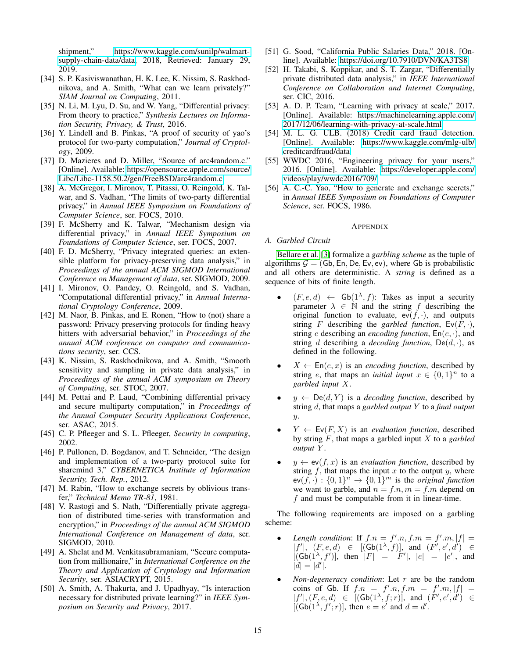shipment," [https://www.kaggle.com/sunilp/walmart](https://www.kaggle.com/sunilp/walmart-supply-chain-data/data)[supply-chain-data/data,](https://www.kaggle.com/sunilp/walmart-supply-chain-data/data) 2018, Retrieved: January 29, 2019.

- <span id="page-14-6"></span>[34] S. P. Kasiviswanathan, H. K. Lee, K. Nissim, S. Raskhodnikova, and A. Smith, "What can we learn privately?" *SIAM Journal on Computing*, 2011.
- <span id="page-14-11"></span>[35] N. Li, M. Lyu, D. Su, and W. Yang, "Differential privacy: From theory to practice," *Synthesis Lectures on Information Security, Privacy, & Trust*, 2016.
- <span id="page-14-18"></span>[36] Y. Lindell and B. Pinkas, "A proof of security of yao's protocol for two-party computation," *Journal of Cryptology*, 2009.
- <span id="page-14-23"></span>[37] D. Mazieres and D. Miller, "Source of arc4random.c." [Online]. Available: [https://opensource.apple.com/source/](https://opensource.apple.com/source/Libc/Libc-1158.50.2/gen/FreeBSD/arc4random.c) [Libc/Libc-1158.50.2/gen/FreeBSD/arc4random.c](https://opensource.apple.com/source/Libc/Libc-1158.50.2/gen/FreeBSD/arc4random.c)
- <span id="page-14-7"></span>[38] A. McGregor, I. Mironov, T. Pitassi, O. Reingold, K. Talwar, and S. Vadhan, "The limits of two-party differential privacy," in *Annual IEEE Symposium on Foundations of Computer Science*, ser. FOCS, 2010.
- <span id="page-14-3"></span>[39] F. McSherry and K. Talwar, "Mechanism design via differential privacy," in *Annual IEEE Symposium on Foundations of Computer Science*, ser. FOCS, 2007.
- <span id="page-14-22"></span>[40] F. D. McSherry, "Privacy integrated queries: an extensible platform for privacy-preserving data analysis," in *Proceedings of the annual ACM SIGMOD International Conference on Management of data*, ser. SIGMOD, 2009.
- <span id="page-14-14"></span>[41] I. Mironov, O. Pandey, O. Reingold, and S. Vadhan, "Computational differential privacy," in *Annual International Cryptology Conference*, 2009.
- <span id="page-14-21"></span>[42] M. Naor, B. Pinkas, and E. Ronen, "How to (not) share a password: Privacy preserving protocols for finding heavy hitters with adversarial behavior," in *Proceedings of the annual ACM conference on computer and communications security*, ser. CCS.
- <span id="page-14-5"></span>[43] K. Nissim, S. Raskhodnikova, and A. Smith, "Smooth sensitivity and sampling in private data analysis," in *Proceedings of the annual ACM symposium on Theory of Computing*, ser. STOC, 2007.
- <span id="page-14-4"></span>[44] M. Pettai and P. Laud, "Combining differential privacy and secure multiparty computation," in *Proceedings of the Annual Computer Security Applications Conference*, ser. ASAC, 2015.
- <span id="page-14-0"></span>[45] C. P. Pfleeger and S. L. Pfleeger, *Security in computing*, 2002.
- <span id="page-14-19"></span>[46] P. Pullonen, D. Bogdanov, and T. Schneider, "The design and implementation of a two-party protocol suite for sharemind 3," *CYBERNETICA Institute of Information Security, Tech. Rep.*, 2012.
- <span id="page-14-16"></span>[47] M. Rabin, "How to exchange secrets by oblivious transfer," *Technical Memo TR-81*, 1981.
- <span id="page-14-8"></span>[48] V. Rastogi and S. Nath, "Differentially private aggregation of distributed time-series with transformation and encryption," in *Proceedings of the annual ACM SIGMOD International Conference on Management of data*, ser. SIGMOD, 2010.
- <span id="page-14-20"></span>[49] A. Shelat and M. Venkitasubramaniam, "Secure computation from millionaire," in *International Conference on the Theory and Application of Cryptology and Information Security*, ser. ASIACRYPT, 2015.
- <span id="page-14-10"></span>[50] A. Smith, A. Thakurta, and J. Upadhyay, "Is interaction necessary for distributed private learning?" in *IEEE Symposium on Security and Privacy*, 2017.
- <span id="page-14-1"></span>[51] G. Sood, "California Public Salaries Data," 2018. [Online]. Available:<https://doi.org/10.7910/DVN/KA3TS8>
- <span id="page-14-9"></span>[52] H. Takabi, S. Koppikar, and S. T. Zargar, "Differentially private distributed data analysis," in *IEEE International Conference on Collaboration and Internet Computing*, ser. CIC, 2016.
- <span id="page-14-12"></span>[53] A. D. P. Team, "Learning with privacy at scale," 2017. [Online]. Available: [https://machinelearning.apple.com/](https://machinelearning.apple.com/2017/12/06/learning-with-privacy-at-scale.html) [2017/12/06/learning-with-privacy-at-scale.html](https://machinelearning.apple.com/2017/12/06/learning-with-privacy-at-scale.html)
- <span id="page-14-2"></span>[54] M. L. G. ULB. (2018) Credit card fraud detection. [Online]. Available: [https://www.kaggle.com/mlg-ulb/](https://www.kaggle.com/mlg-ulb/creditcardfraud/data) [creditcardfraud/data](https://www.kaggle.com/mlg-ulb/creditcardfraud/data)
- <span id="page-14-13"></span>[55] WWDC 2016, "Engineering privacy for your users," 2016. [Online]. Available: [https://developer.apple.com/](https://developer.apple.com/videos/play/wwdc2016/709/) [videos/play/wwdc2016/709/](https://developer.apple.com/videos/play/wwdc2016/709/)
- <span id="page-14-15"></span>[56] A. C.-C. Yao, "How to generate and exchange secrets," in *Annual IEEE Symposium on Foundations of Computer Science*, ser. FOCS, 1986.

# APPENDIX

#### <span id="page-14-17"></span>*A. Garbled Circuit*

[Bellare et al.](#page-13-32) [\[3\]](#page-13-32) formalize a *garbling scheme* as the tuple of algorithms  $G = (Gb, En, De, Ev, ev)$ , where Gb is probabilistic and all others are deterministic. A *string* is defined as a sequence of bits of finite length.

- $(F, e, d) \leftarrow$  Gb $(1^{\lambda}, f)$ : Takes as input a security parameter  $\lambda \in \mathbb{N}$  and the string f describing the original function to evaluate,  $ev(f, \cdot)$ , and outputs string F describing the *garbled function*,  $Ev(F, \cdot)$ , string e describing an *encoding function*, En(e, ·), and string d describing a *decoding function*,  $De(d, \cdot)$ , as defined in the following.
- $X \leftarrow \mathsf{En}(e, x)$  is an *encoding function*, described by string *e*, that maps an *initial input*  $x \in \{0, 1\}^n$  to a *garbled input* X.
- $y \leftarrow \text{De}(d, Y)$  is a *decoding function*, described by string d, that maps a *garbled output* Y to a *final output* y.
- $Y \leftarrow \mathsf{Ev}(F, X)$  is an *evaluation function*, described by string F, that maps a garbled input X to a *garbled output* Y .
- $y \leftarrow \text{ev}(f, x)$  is an *evaluation function*, described by string  $f$ , that maps the input  $x$  to the output  $y$ , where  $ev(f, \cdot) : \{0,1\}^n \to \{0,1\}^m$  is the *original function* we want to garble, and  $n = f.n$ ,  $m = f.m$  depend on  $f$  and must be computable from it in linear-time.

The following requirements are imposed on a garbling scheme:

- Length condition: If  $f \cdot n = f' \cdot n, f \cdot m = f' \cdot m, |f| =$  $|f'|$ ,  $(F, e, d) \in [(\mathsf{Gb}(1^{\lambda}, f)], \text{ and } (F', e', d') \in$  $[(\mathsf{Gb}(1^{\lambda}, f'))]$ , then  $|F| = |F'|$ ,  $|e| = |e'|$ , and  $|d| = |d'|$ .
- *Non-degeneracy condition*: Let  $r$  are be the random coins of Gb. If  $f \cdot n = f' \cdot n, f \cdot m = f' \cdot m, |f| =$  $|f'|, (F, e, d) \in [(\mathsf{Gb}(1^{\lambda}, f; r)], \text{ and } (F', e', d') \in$  $[(Gb(1<sup>\lambda</sup>, f';r)],$  then  $e = e'$  and  $d = d'$ .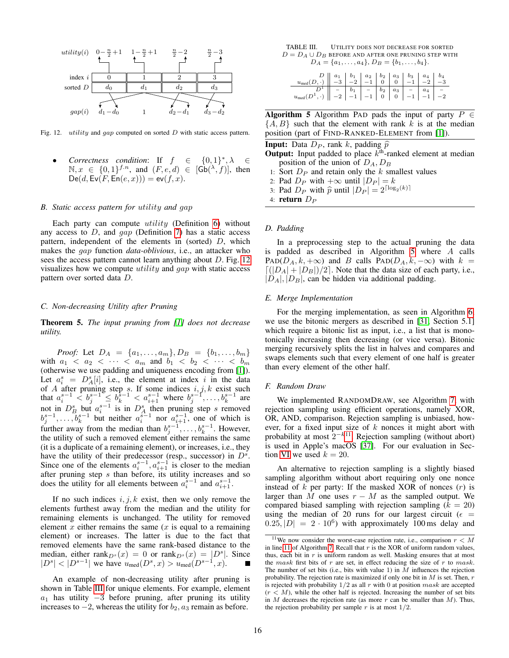

<span id="page-15-5"></span>Fig. 12. *utility* and *gap* computed on sorted  $D$  with static access pattern.

 $Corrections condition: If  $f \in \mathbb{C}$$ ∗ , λ ∈  $\mathbb{N}, x \in \{0,1\}^{f.n}$ , and  $(F, e, d) \in [\mathsf{Gb}(\lambda, f)],$  then  $\mathsf{De}(d, \mathsf{Ev}(F, \mathsf{En}(e, x))) = \mathsf{ev}(f, x).$ 

#### <span id="page-15-0"></span>*B. Static access pattern for* utility *and* gap

Each party can compute *utility* (Definition [6\)](#page-4-3) without any access to  $D$ , and  $qap$  (Definition [7\)](#page-5-3) has a static access pattern, independent of the elements in (sorted) D, which makes the gap function *data-oblivious*, i.e., an attacker who sees the access pattern cannot learn anything about  $D$ . Fig. [12](#page-15-5) visualizes how we compute utility and gap with static access pattern over sorted data D.

#### <span id="page-15-2"></span>*C. Non-decreasing Utility after Pruning*

Theorem 5. *The input pruning from [\[1\]](#page-13-0) does not decrease utility.*

*Proof:* Let  $D_A = \{a_1, \ldots, a_m\}$ ,  $D_B = \{b_1, \ldots, b_m\}$ with  $a_1 < a_2 < \cdots < a_m$  and  $b_1 < b_2 < \cdots < b_m$ (otherwise we use padding and uniqueness encoding from [\[1\]](#page-13-0)). Let  $a_i^s = D_A^s[i]$ , i.e., the element at index i in the data of A after pruning step s. If some indices  $i, j, k$  exist such that  $a_i^{s-1} < b_j^{s-1} \leq b_k^{s-1} < a_{i+1}^{s-1}$  where  $b_j^{s-1}, \ldots, b_k^{s-1}$  are not in  $D_B^s$  but  $a_i^{s-1}$  is in  $D_A^s$  then pruning step s removed  $b_j^{s-1}, \ldots, b_k^{s-1}$  but neither  $a_i^{\dot{s}-1}$  nor  $a_{i+1}^{s-1}$ , one of which is further away from the median than  $b_j^{s-1}, \ldots, b_k^{s-1}$ . However, the utility of such a removed element either remains the same (it is a duplicate of a remaining element), or increases, i.e., they have the utility of their predecessor (resp., successor) in  $D^s$ . Since one of the elements  $a_i^{s-1}, a_{i+1}^{s-1}$  is closer to the median after pruning step  $s$  than before, its utility increases and so does the utility for all elements between  $a_i^{s-1}$  and  $a_{i+1}^{s-1}$ .

If no such indices  $i, j, k$  exist, then we only remove the elements furthest away from the median and the utility for remaining elements is unchanged. The utility for removed element  $x$  either remains the same  $(x$  is equal to a remaining element) or increases. The latter is due to the fact that removed elements have the same rank-based distance to the median, either rank $_{D^s}(x) = 0$  or rank $_{D^s}(x) = |D^s|$ . Since  $|D^s| < |D^{s-1}|$  we have  $u_{\text{med}}(D^s, x) > u_{\text{med}}(D^{s-1}, x)$ .

An example of non-decreasing utility after pruning is shown in Table [III](#page-15-6) for unique elements. For example, element  $a_1$  has utility  $-3$  before pruning, after pruning its utility increases to  $-2$ , whereas the utility for  $b_2$ ,  $a_3$  remain as before.

<span id="page-15-6"></span>TABLE III. UTILITY DOES NOT DECREASE FOR SORTED  $D = D_A \cup D_B$  BEFORE AND AFTER ONE PRUNING STEP WITH  $D_A = \{a_1, \ldots, a_4\}, D_B = \{b_1, \ldots, b_4\}.$ 

| $u_{\text{med}}(D, \cdot) \ \left  \ \begin{array}{c c c c c c} 0 & a_1 & b_1 & a_2 & b_2 & a_3 & b_3 & a_4 & b_4 \\ \hline -3 & -2 & -1 & 0 & 0 & -1 & -2 & -3 \\ \end{array} \right $ |  |  |  |  |
|-----------------------------------------------------------------------------------------------------------------------------------------------------------------------------------------|--|--|--|--|
|                                                                                                                                                                                         |  |  |  |  |

Algorithm 5 Algorithm PAD pads the input of party  $P \in$  $\{A, B\}$  such that the element with rank k is at the median position (part of FIND-RANKED-ELEMENT from [\[1\]](#page-13-0)).

<span id="page-15-7"></span>**Input:** Data  $D_P$ , rank k, padding  $\hat{p}$ 

**Output:** Input padded to place  $k^{\text{th}}$ -ranked element at median position of the union of  $D_A$ ,  $D_B$ 

- 1: Sort  $D_P$  and retain only the  $k$  smallest values
- 2: Pad  $D_P$  with  $+\infty$  until  $|D_P| = k$
- 3: Pad  $D_P$  with  $\hat{p}$  until  $|D_P| = 2^{\lceil \log_2(k) \rceil}$

4: return  $D_P$ 

# <span id="page-15-1"></span>*D. Padding*

In a preprocessing step to the actual pruning the data is padded as described in Algorithm  $5$  where  $A$  calls PAD( $D_A, k, +\infty$ ) and B calls PAD( $D_A, k, -\infty$ ) with  $k =$  $\lfloor (|D_A| + |D_B|)/2 \rfloor$ . Note that the data size of each party, i.e.,  $|D_A|$ ,  $|D_B|$ , can be hidden via additional padding.

#### <span id="page-15-3"></span>*E. Merge Implementation*

For the merging implementation, as seen in Algorithm [6,](#page-16-2) we use the bitonic mergers as described in [\[31,](#page-13-22) Section 5.1] which require a bitonic list as input, i.e., a list that is monotonically increasing then decreasing (or vice versa). Bitonic merging recursively splits the list in halves and compares and swaps elements such that every element of one half is greater than every element of the other half.

#### <span id="page-15-4"></span>*F. Random Draw*

We implemented RANDOMDRAW, see Algorithm [7,](#page-16-3) with rejection sampling using efficient operations, namely XOR, OR, AND, comparison. Rejection sampling is unbiased, however, for a fixed input size of  $k$  nonces it might abort with probability at most  $2^{-k}$ <sup>[11](#page-15-8)</sup>. Rejection sampling (without abort) is used in Apple's macOS [\[37\]](#page-14-23). For our evaluation in Sec-tion [VI](#page-9-0) we used  $k = 20$ .

An alternative to rejection sampling is a slightly biased sampling algorithm without abort requiring only one nonce instead of  $k$  per party: If the masked XOR of nonces  $(r)$  is larger than M one uses  $r - M$  as the sampled output. We compared biased sampling with rejection sampling  $(k = 20)$ using the median of 20 runs for our largest circuit ( $\epsilon$  =  $(0.25, |D| = 2 \cdot 10^6)$  with approximately 100 ms delay and

<span id="page-15-8"></span><sup>&</sup>lt;sup>11</sup>We now consider the worst-case rejection rate, i.e., comparison  $r < M$ in line [11](#page-16-3) of Algorithm [7.](#page-16-3) Recall that  $r$  is the XOR of uniform random values, thus, each bit in  $r$  is uniform random as well. Masking ensures that at most the mask first bits of  $r$  are set, in effect reducing the size of  $r$  to mask. The number of set bits (i.e., bits with value 1) in  $\overline{M}$  influences the rejection probability. The rejection rate is maximized if only one bit in  $M$  is set. Then,  $r$ is rejected with probability  $1/2$  as all r with 0 at position mask are accepted  $(r < M)$ , while the other half is rejected. Increasing the number of set bits in  $M$  decreases the rejection rate (as more  $r$  can be smaller than  $M$ ). Thus, the rejection probability per sample  $r$  is at most  $1/2$ .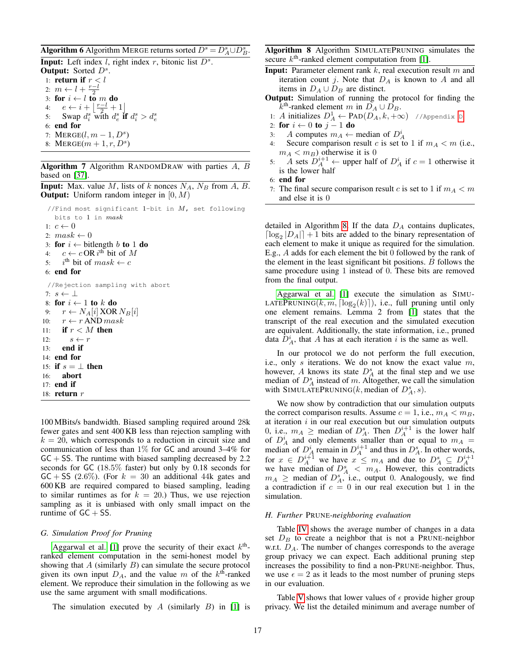# **Algorithm 6** Algorithm MERGE returns sorted  $D^s = D_A^s \cup D_B^s$ .

<span id="page-16-2"></span>Input: Left index  $l$ , right index  $r$ , bitonic list  $D^s$ . Output: Sorted  $D^s$ . 1: **return if**  $r < l$ 2:  $m \leftarrow l + \frac{r-l}{2}$ 3: for  $i \leftarrow l$  to *m* do 4:  $e \leftarrow i + \left\lfloor \frac{r-l}{2} + 1 \right\rfloor$ 5: Swap  $d_i^s$  with  $d_e^s$  if  $d_i^s > d_e^s$ 6: end for 7:  $MERGE(l, m-1, D<sup>s</sup>)$ 8: MERGE $(m + 1, r, D^s)$ 

# Algorithm 7 Algorithm RANDOMDRAW with parties  $A, B$ based on [\[37\]](#page-14-23).

<span id="page-16-3"></span>**Input:** Max. value M, lists of k nonces  $N_A$ ,  $N_B$  from A, B. **Output:** Uniform random integer in  $[0, M)$ 

```
//Find most significant 1-bit in M, set following
    bits to 1 in mask
 1: c \leftarrow 02: mask \leftarrow 03: for i \leftarrow bitlength b to 1 do
 4: c \leftarrow c OR i^{\text{th}} bit of M
 5: i<sup>th</sup> bit of mask \leftarrow c6: end for
 //Rejection sampling with abort
7: s \leftarrow \perp8: for i \leftarrow 1 to k do
9: r \leftarrow N_A[i] \text{ XOR } N_B[i]10: r \leftarrow r AND mask
11: if r < M then
12: s \leftarrow r13: end if
14: end for
15: if s = \perp then
16: abort
17: end if
18: return r
```
100 MBits/s bandwidth. Biased sampling required around 28k fewer gates and sent 400 KB less than rejection sampling with  $k = 20$ , which corresponds to a reduction in circuit size and communication of less than  $1\%$  for GC and around 3–4% for  $GC + SS$ . The runtime with biased sampling decreased by 2.2 seconds for GC (18.5% faster) but only by 0.18 seconds for  $GC + SS$  (2.6%). (For  $k = 30$  an additional 44k gates and 600 KB are required compared to biased sampling, leading to similar runtimes as for  $k = 20$ .) Thus, we use rejection sampling as it is unbiased with only small impact on the runtime of  $GC + SS$ .

# <span id="page-16-0"></span>*G. Simulation Proof for Pruning*

[Aggarwal et al.](#page-13-0) [\[1\]](#page-13-0) prove the security of their exact  $k^{\text{th}}$ ranked element computation in the semi-honest model by showing that  $A$  (similarly  $B$ ) can simulate the secure protocol given its own input  $D_A$ , and the value m of the  $k<sup>th</sup>$ -ranked element. We reproduce their simulation in the following as we use the same argument with small modifications.

The simulation executed by A (similarly  $B$ ) in [\[1\]](#page-13-0) is

Algorithm 8 Algorithm SIMULATEPRUNING simulates the secure  $k<sup>th</sup>$ -ranked element computation from [\[1\]](#page-13-0).

- <span id="page-16-4"></span>**Input:** Parameter element rank  $k$ , real execution result  $m$  and iteration count j. Note that  $D_A$  is known to A and all items in  $D_A \cup D_B$  are distinct.
- Output: Simulation of running the protocol for finding the  $\overline{k}^{\text{th}}$ -ranked element m in  $\overline{D}_A \cup \overline{D}_B$ .
- 1: A initializes  $D_A^1 \leftarrow \text{PAD}(D_A, k, +\infty)$  //Appendix [D](#page-15-1)
- 2: for  $i \leftarrow 0$  to  $j-1$  do
- 3: A computes  $m_A \leftarrow$  median of  $D_A^i$
- 4: Secure comparison result c is set to 1 if  $m_A < m$  (i.e.,  $m_A < m_B$ ) otherwise it is 0
- 5: A sets  $D_A^{i+1} \leftarrow$  upper half of  $D_A^i$  if  $c = 1$  otherwise it is the lower half
- 6: end for
- 7: The final secure comparison result c is set to 1 if  $m_A < m$ and else it is 0

detailed in Algorithm [8.](#page-16-4) If the data  $D_A$  contains duplicates,  $\lceil \log_2 |D_A| \rceil + 1$  bits are added to the binary representation of each element to make it unique as required for the simulation. E.g., A adds for each element the bit 0 followed by the rank of the element in the least significant bit positions. B follows the same procedure using 1 instead of 0. These bits are removed from the final output.

[Aggarwal et al.](#page-13-0) [\[1\]](#page-13-0) execute the simulation as SIMU-LATEPRUNING $(k, m, \lceil \log_2(k) \rceil)$ , i.e., full pruning until only one element remains. Lemma 2 from [\[1\]](#page-13-0) states that the transcript of the real execution and the simulated execution are equivalent. Additionally, the state information, i.e., pruned data  $\hat{D}_A^i$ , that A has at each iteration i is the same as well.

In our protocol we do not perform the full execution, i.e., only s iterations. We do not know the exact value  $m$ , however, A knows its state  $D_A^s$  at the final step and we use median of  $D_A^s$  instead of m. Altogether, we call the simulation with SIMULATEPRUNING(k, median of  $D_A^s$ , s).

We now show by contradiction that our simulation outputs the correct comparison results. Assume  $c = 1$ , i.e.,  $m_A < m_B$ , at iteration  $i$  in our real execution but our simulation outputs 0, i.e.,  $m_A \geq$  median of  $D_A^s$ . Then  $D_A^{i+1}$  is the lower half of  $D_A^i$  and only elements smaller than or equal to  $m_A =$ median of  $D_A^i$  remain in  $D_A^{i+1}$  and thus in  $D_A^s$ . In other words, for  $x \in D_A^{i+1}$  we have  $x \leq m_A$  and due to  $D_A^s \subseteq D_A^{i+1}$ we have median of  $D_A^s < m_A$ . However, this contradicts  $m_A \geq$  median of  $D_A^s$ , i.e., output 0. Analogously, we find a contradiction if  $c = 0$  in our real execution but 1 in the simulation.

# <span id="page-16-1"></span>*H. Further* PRUNE*-neighboring evaluation*

Table [IV](#page-17-0) shows the average number of changes in a data set  $D_B$  to create a neighbor that is not a PRUNE-neighbor w.r.t.  $D_A$ . The number of changes corresponds to the average group privacy we can expect. Each additional pruning step increases the possibility to find a non-PRUNE-neighbor. Thus, we use  $\epsilon = 2$  as it leads to the most number of pruning steps in our evaluation.

Table [V](#page-17-1) shows that lower values of  $\epsilon$  provide higher group privacy. We list the detailed minimum and average number of